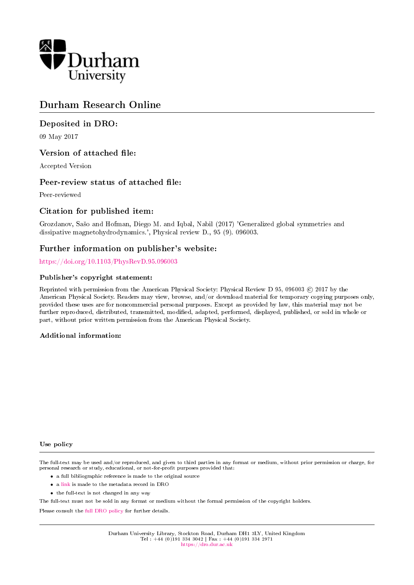

# Durham Research Online

# Deposited in DRO:

09 May 2017

# Version of attached file:

Accepted Version

# Peer-review status of attached file:

Peer-reviewed

# Citation for published item:

Grozdanov, Saso and Hofman, Diego M. and Iqbal, Nabil (2017) 'Generalized global symmetries and dissipative magnetohydrodynamics.', Physical review D., 95 (9). 096003.

# Further information on publisher's website:

<https://doi.org/10.1103/PhysRevD.95.096003>

### Publisher's copyright statement:

Reprinted with permission from the American Physical Society: Physical Review D 95, 096003 C 2017 by the American Physical Society. Readers may view, browse, and/or download material for temporary copying purposes only, provided these uses are for noncommercial personal purposes. Except as provided by law, this material may not be further reproduced, distributed, transmitted, modified, adapted, performed, displayed, published, or sold in whole or part, without prior written permission from the American Physical Society.

## Additional information:

### Use policy

The full-text may be used and/or reproduced, and given to third parties in any format or medium, without prior permission or charge, for personal research or study, educational, or not-for-profit purposes provided that:

- a full bibliographic reference is made to the original source
- a [link](http://dro.dur.ac.uk/21714/) is made to the metadata record in DRO
- the full-text is not changed in any way

The full-text must not be sold in any format or medium without the formal permission of the copyright holders.

Please consult the [full DRO policy](https://dro.dur.ac.uk/policies/usepolicy.pdf) for further details.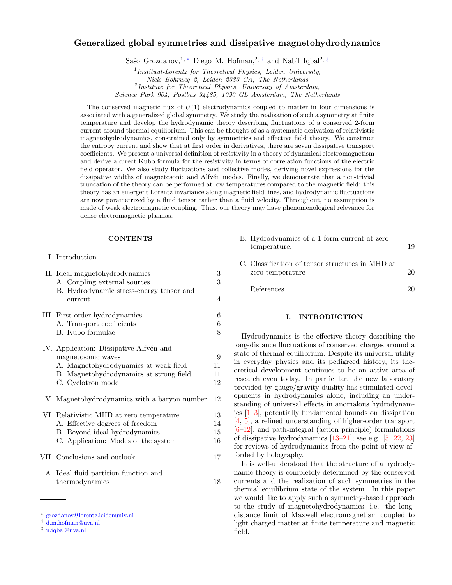### Generalized global symmetries and dissipative magnetohydrodynamics

Sašo Grozdanov,<sup>1, \*</sup> Diego M. Hofman,<sup>2, [†](#page-1-1)</sup> and Nabil Iqbal<sup>2, [‡](#page-1-2)</sup>

Science Park 904, Postbus 94485, 1090 GL Amsterdam, The Netherlands

The conserved magnetic flux of  $U(1)$  electrodynamics coupled to matter in four dimensions is associated with a generalized global symmetry. We study the realization of such a symmetry at finite temperature and develop the hydrodynamic theory describing fluctuations of a conserved 2-form current around thermal equilibrium. This can be thought of as a systematic derivation of relativistic magnetohydrodynamics, constrained only by symmetries and effective field theory. We construct the entropy current and show that at first order in derivatives, there are seven dissipative transport coefficients. We present a universal definition of resistivity in a theory of dynamical electromagnetism and derive a direct Kubo formula for the resistivity in terms of correlation functions of the electric field operator. We also study fluctuations and collective modes, deriving novel expressions for the dissipative widths of magnetosonic and Alfvén modes. Finally, we demonstrate that a non-trivial truncation of the theory can be performed at low temperatures compared to the magnetic field: this theory has an emergent Lorentz invariance along magnetic field lines, and hydrodynamic fluctuations are now parametrized by a fluid tensor rather than a fluid velocity. Throughout, no assumption is made of weak electromagnetic coupling. Thus, our theory may have phenomenological relevance for dense electromagnetic plasmas.

#### **CONTENTS**

#### [I. Introduction](#page-1-3) 1

| II. Ideal magnetohydrodynamics<br>A. Coupling external sources<br>B. Hydrodynamic stress-energy tensor and<br>current                                                  | 3<br>3<br>$\overline{4}$ |
|------------------------------------------------------------------------------------------------------------------------------------------------------------------------|--------------------------|
| III. First-order hydrodynamics<br>A. Transport coefficients<br>B. Kubo formulae                                                                                        | 6<br>6<br>8              |
| IV. Application: Dissipative Alfvén and<br>magnetosonic waves<br>A. Magnetohydrodynamics at weak field<br>B. Magnetohydrodynamics at strong field<br>C. Cyclotron mode | 9<br>11<br>11<br>12      |
| V. Magnetohydrodynamics with a baryon number                                                                                                                           | 12                       |
| VI. Relativistic MHD at zero temperature<br>A. Effective degrees of freedom<br>B. Beyond ideal hydrodynamics<br>C. Application: Modes of the system                    | 13<br>14<br>15<br>16     |
| VII. Conclusions and outlook                                                                                                                                           | 17                       |
| A. Ideal fluid partition function and<br>thermodynamics                                                                                                                | 18                       |

| B. Hydrodynamics of a 1-form current at zero |    |
|----------------------------------------------|----|
| temperature.                                 | 19 |

| C. Classification of tensor structures in MHD at<br>zero temperature | 20 |
|----------------------------------------------------------------------|----|
| References                                                           | 20 |

#### <span id="page-1-3"></span>I. INTRODUCTION

Hydrodynamics is the effective theory describing the long-distance fluctuations of conserved charges around a state of thermal equilibrium. Despite its universal utility in everyday physics and its pedigreed history, its theoretical development continues to be an active area of research even today. In particular, the new laboratory provided by gauge/gravity duality has stimulated developments in hydrodynamics alone, including an understanding of universal effects in anomalous hydrodynamics [\[1](#page-20-2)[–3\]](#page-21-0), potentially fundamental bounds on dissipation [\[4,](#page-21-1) [5\]](#page-21-2), a refined understanding of higher-order transport [\[6–](#page-21-3)[12\]](#page-21-4), and path-integral (action principle) formulations of dissipative hydrodynamics [\[13](#page-21-5)[–21\]](#page-21-6); see e.g. [\[5,](#page-21-2) [22,](#page-21-7) [23\]](#page-21-8) for reviews of hydrodynamics from the point of view afforded by holography.

It is well-understood that the structure of a hydrodynamic theory is completely determined by the conserved currents and the realization of such symmetries in the thermal equilibrium state of the system. In this paper we would like to apply such a symmetry-based approach to the study of magnetohydrodynamics, i.e. the longdistance limit of Maxwell electromagnetism coupled to light charged matter at finite temperature and magnetic field.

<sup>&</sup>lt;sup>1</sup>Instituut-Lorentz for Theoretical Physics, Leiden University, Niels Bohrweg 2, Leiden 2333 CA, The Netherlands  $2$ Institute for Theoretical Physics, University of Amsterdam,

<span id="page-1-0"></span><sup>∗</sup> [grozdanov@lorentz.leidenuniv.nl](mailto:grozdanov@lorentz.leidenuniv.nl)

<span id="page-1-1"></span><sup>†</sup> [d.m.hofman@uva.nl](mailto:d.m.hofman@uva.nl)

<span id="page-1-2"></span><sup>‡</sup> [n.iqbal@uva.nl](mailto:n.iqbal@uva.nl)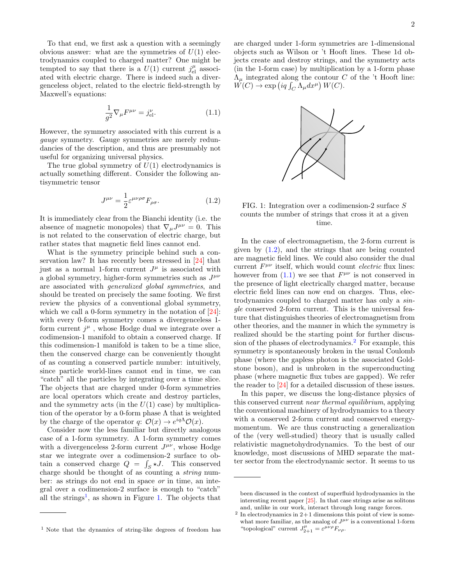To that end, we first ask a question with a seemingly obvious answer: what are the symmetries of  $U(1)$  electrodynamics coupled to charged matter? One might be tempted to say that there is a  $U(1)$  current  $j_{\text{el}}^{\mu}$  associated with electric charge. There is indeed such a divergenceless object, related to the electric field-strength by Maxwell's equations:

<span id="page-2-3"></span>
$$
\frac{1}{g^2} \nabla_{\mu} F^{\mu \nu} = j_{\text{el}}^{\nu}.
$$
 (1.1)

However, the symmetry associated with this current is a gauge symmetry. Gauge symmetries are merely redundancies of the description, and thus are presumably not useful for organizing universal physics.

The true global symmetry of  $U(1)$  electrodynamics is actually something different. Consider the following antisymmetric tensor

<span id="page-2-2"></span>
$$
J^{\mu\nu} = \frac{1}{2} \varepsilon^{\mu\nu\rho\sigma} F_{\rho\sigma}.
$$
 (1.2)

It is immediately clear from the Bianchi identity (i.e. the absence of magnetic monopoles) that  $\nabla_{\mu}J^{\mu\nu} = 0$ . This is not related to the conservation of electric charge, but rather states that magnetic field lines cannot end.

What is the symmetry principle behind such a conservation law? It has recently been stressed in [\[24\]](#page-21-9) that just as a normal 1-form current  $J^{\mu}$  is associated with a global symmetry, higher-form symmetries such as  $J^{\mu\nu}$ are associated with generalized global symmetries, and should be treated on precisely the same footing. We first review the physics of a conventional global symmetry, which we call a 0-form symmetry in the notation of  $[24]$ : with every 0-form symmetry comes a divergenceless 1form current  $j^{\mu}$ , whose Hodge dual we integrate over a codimension-1 manifold to obtain a conserved charge. If this codimension-1 manifold is taken to be a time slice, then the conserved charge can be conveniently thought of as counting a conserved particle number: intuitively, since particle world-lines cannot end in time, we can "catch" all the particles by integrating over a time slice. The objects that are charged under 0-form symmetries are local operators which create and destroy particles, and the symmetry acts (in the  $U(1)$  case) by multiplication of the operator by a 0-form phase  $\Lambda$  that is weighted by the charge of the operator q:  $\mathcal{O}(x) \to e^{iq\Lambda} \mathcal{O}(x)$ .

Consider now the less familiar but directly analogous case of a 1-form symmetry. A 1-form symmetry comes with a divergenceless 2-form current  $J^{\mu\nu}$ , whose Hodge star we integrate over a codimension-2 surface to obtain a conserved charge  $Q = \int_S \star J$ . This conserved charge should be thought of as counting a *string* number: as strings do not end in space or in time, an integral over a codimension-2 surface is enough to "catch" all the strings<sup>[1](#page-2-0)</sup>, as shown in Figure [1.](#page-2-1) The objects that

are charged under 1-form symmetries are 1-dimensional objects such as Wilson or 't Hooft lines. These 1d objects create and destroy strings, and the symmetry acts (in the 1-form case) by multiplication by a 1-form phase  $\Lambda_{\mu}$  integrated along the contour C of the 't Hooft line:  $W(C) \to \exp(iq \int_C \Lambda_\mu dx^\mu) W(C).$ 

<span id="page-2-1"></span>

FIG. 1: Integration over a codimension-2 surface S counts the number of strings that cross it at a given time.

In the case of electromagnetism, the 2-form current is given by  $(1.2)$ , and the strings that are being counted are magnetic field lines. We could also consider the dual current  $F^{\mu\nu}$  itself, which would count *electric* flux lines: however from  $(1.1)$  we see that  $F^{\mu\nu}$  is not conserved in the presence of light electrically charged matter, because electric field lines can now end on charges. Thus, electrodynamics coupled to charged matter has only a single conserved 2-form current. This is the universal feature that distinguishes theories of electromagnetism from other theories, and the manner in which the symmetry is realized should be the starting point for further discussion of the phases of electrodynamics.[2](#page-2-4) For example, this symmetry is spontaneously broken in the usual Coulomb phase (where the gapless photon is the associated Goldstone boson), and is unbroken in the superconducting phase (where magnetic flux tubes are gapped). We refer the reader to [\[24\]](#page-21-9) for a detailed discussion of these issues.

In this paper, we discuss the long-distance physics of this conserved current near thermal equilibrium, applying the conventional machinery of hydrodynamics to a theory with a conserved 2-form current and conserved energymomentum. We are thus constructing a generalization of the (very well-studied) theory that is usually called relativistic magnetohydrodynamics. To the best of our knowledge, most discussions of MHD separate the matter sector from the electrodynamic sector. It seems to us

<span id="page-2-0"></span><sup>1</sup> Note that the dynamics of string-like degrees of freedom has

been discussed in the context of superfluid hydrodynamics in the interesting recent paper [\[25\]](#page-21-10). In that case strings arise as solitons and, unlike in our work, interact through long range forces.

<span id="page-2-4"></span> $2$  In electrodynamics in  $2+1$  dimensions this point of view is somewhat more familiar, as the analog of  $J^{\mu\nu}$  is a conventional 1-form "topological" current  $J_{2+1}^{\mu} = \varepsilon^{\mu\nu\rho} F_{\nu\rho}$ .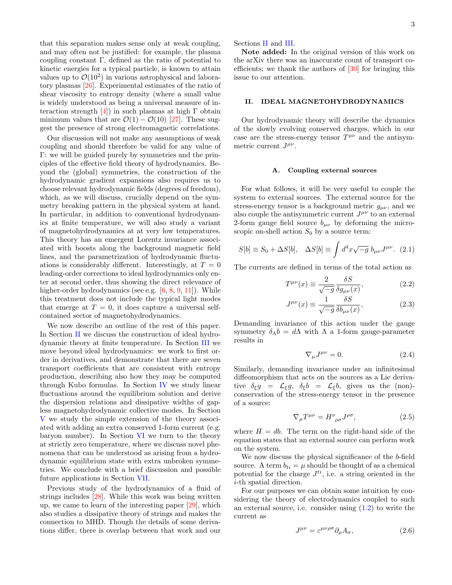that this separation makes sense only at weak coupling, and may often not be justified: for example, the plasma coupling constant Γ, defined as the ratio of potential to kinetic energies for a typical particle, is known to attain values up to  $\mathcal{O}(10^2)$  in various astrophysical and laboratory plasmas [\[26\]](#page-21-11). Experimental estimates of the ratio of shear viscosity to entropy density (where a small value is widely understood as being a universal measure of interaction strength  $[4]$ ) in such plasmas at high Γ obtain minimum values that are  $\mathcal{O}(1) - \mathcal{O}(10)$  [\[27\]](#page-21-12). These suggest the presence of strong electromagnetic correlations.

Our discussion will not make any assumptions of weak coupling and should therefore be valid for any value of Γ: we will be guided purely by symmetries and the principles of the effective field theory of hydrodynamics. Beyond the (global) symmetries, the construction of the hydrodynamic gradient expansions also requires us to choose relevant hydrodynamic fields (degrees of freedom), which, as we will discuss, crucially depend on the symmetry breaking pattern in the physical system at hand. In particular, in addition to conventional hydrodynamics at finite temperature, we will also study a variant of magnetohydrodynamics at at very low temperatures. This theory has an emergent Lorentz invariance associated with boosts along the background magnetic field lines, and the parametrization of hydrodynamic fluctuations is considerably different. Interestingly, at  $T = 0$ leading-order corrections to ideal hydrodynamics only enter at second order, thus showing the direct relevance of higher-order hydrodynamics (see e.g. [\[6,](#page-21-3) [8,](#page-21-13) [9,](#page-21-14) [11\]](#page-21-15)). While this treatment does not include the typical light modes that emerge at  $T = 0$ , it does capture a universal selfcontained sector of magnetohydrodynamics.

We now describe an outline of the rest of this paper. In Section [II](#page-3-0) we discuss the construction of ideal hydrodynamic theory at finite temperature. In Section [III](#page-6-0) we move beyond ideal hydrodynamics: we work to first order in derivatives, and demonstrate that there are seven transport coefficients that are consistent with entropy production, describing also how they may be computed through Kubo formulas. In Section [IV](#page-9-0) we study linear fluctuations around the equilibrium solution and derive the dispersion relations and dissipative widths of gapless magnetohydrodynamic collective modes. In Section [V](#page-12-1) we study the simple extension of the theory associated with adding an extra conserved 1-form current (e.g. baryon number). In Section [VI](#page-13-0) we turn to the theory at strictly zero temperature, where we discuss novel phenomena that can be understood as arising from a hydrodynamic equilibrium state with extra unbroken symmetries. We conclude with a brief discussion and possible future applications in Section [VII.](#page-17-0)

Previous study of the hydrodynamics of a fluid of strings includes [\[28\]](#page-21-16). While this work was being written up, we came to learn of the interesting paper [\[29\]](#page-21-17), which also studies a dissipative theory of strings and makes the connection to MHD. Though the details of some derivations differ, there is overlap between that work and our

Sections [II](#page-3-0) and [III.](#page-6-0)

Note added: In the original version of this work on the arXiv there was an inaccurate count of transport coefficients; we thank the authors of [\[30\]](#page-21-18) for bringing this issue to our attention.

### <span id="page-3-0"></span>II. IDEAL MAGNETOHYDRODYNAMICS

Our hydrodynamic theory will describe the dynamics of the slowly evolving conserved charges, which in our case are the stress-energy tensor  $T^{\mu\nu}$  and the antisymmetric current  $J^{\mu\nu}$ .

#### <span id="page-3-1"></span>A. Coupling external sources

For what follows, it will be very useful to couple the system to external sources. The external source for the stress-energy tensor is a background metric  $g_{\mu\nu}$ , and we also couple the antisymmetric current  $J^{\mu\nu}$  to an external 2-form gauge field source  $b_{\mu\nu}$  by deforming the microscopic on-shell action  $S_0$  by a source term:

$$
S[b] \equiv S_0 + \Delta S[b], \quad \Delta S[b] \equiv \int d^4x \sqrt{-g} \ b_{\mu\nu} J^{\mu\nu}.
$$
 (2.1)

The currents are defined in terms of the total action as

<span id="page-3-2"></span>
$$
T^{\mu\nu}(x) \equiv \frac{2}{\sqrt{-g}} \frac{\delta S}{\delta g_{\mu\nu}(x)},\tag{2.2}
$$

$$
J^{\mu\nu}(x) \equiv \frac{1}{\sqrt{-g}} \frac{\delta S}{\delta b_{\mu\nu}(x)},\tag{2.3}
$$

Demanding invariance of this action under the gauge symmetry  $\delta_{\Lambda}b = d\Lambda$  with  $\Lambda$  a 1-form gauge-parameter results in

<span id="page-3-5"></span>
$$
\nabla_{\mu}J^{\mu\nu} = 0. \tag{2.4}
$$

Similarly, demanding invariance under an infinitesimal diffeomorphism that acts on the sources as a Lie derivative  $\delta_{\xi}g = \mathcal{L}_{\xi}g$ ,  $\delta_{\xi}b = \mathcal{L}_{\xi}b$ , gives us the (non)conservation of the stress-energy tensor in the presence of a source:

<span id="page-3-4"></span>
$$
\nabla_{\mu}T^{\mu\nu} = H^{\nu}{}_{\rho\sigma}J^{\rho\sigma},\tag{2.5}
$$

where  $H = db$ . The term on the right-hand side of the equation states that an external source can perform work on the system.

We now discuss the physical significance of the b-field source. A term  $b_{ti} = \mu$  should be thought of as a chemical potential for the charge  $J^{ti}$ , i.e. a string oriented in the i-th spatial direction.

For our purposes we can obtain some intuition by considering the theory of electrodynamics coupled to such an external source, i.e. consider using  $(1.2)$  to write the current as

<span id="page-3-3"></span>
$$
J^{\mu\nu} = \varepsilon^{\mu\nu\rho\sigma} \partial_{\rho} A_{\sigma}, \tag{2.6}
$$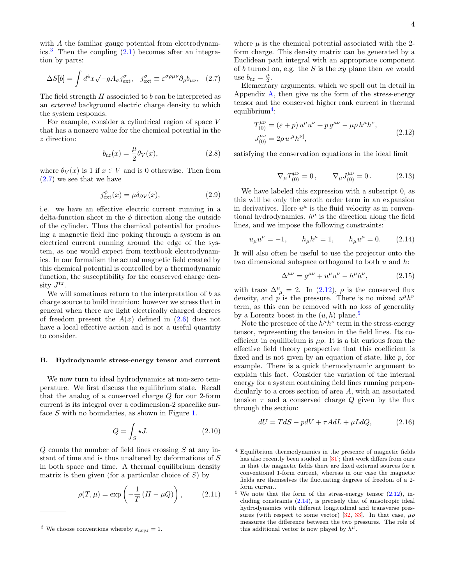with A the familiar gauge potential from electrodynam-ics.<sup>[3](#page-4-1)</sup> Then the coupling  $(2.1)$  becomes after an integration by parts:

$$
\Delta S[b] = \int d^4x \sqrt{-g} A_{\sigma} j^{\sigma}_{\text{ext}}, \quad j^{\sigma}_{\text{ext}} \equiv \varepsilon^{\sigma \rho \mu \nu} \partial_{\rho} b_{\mu \nu}, \quad (2.7)
$$

The field strength H associated to b can be interpreted as an external background electric charge density to which the system responds.

For example, consider a cylindrical region of space V that has a nonzero value for the chemical potential in the z direction:

$$
b_{tz}(x) = \frac{\mu}{2}\theta_V(x),\tag{2.8}
$$

where  $\theta_V(x)$  is 1 if  $x \in V$  and is 0 otherwise. Then from [\(2.7\)](#page-4-2) we see that we have

$$
j_{\text{ext}}^{\phi}(x) = \mu \delta_{\partial V}(x), \tag{2.9}
$$

i.e. we have an effective electric current running in a delta-function sheet in the  $\phi$  direction along the outside of the cylinder. Thus the chemical potential for producing a magnetic field line poking through a system is an electrical current running around the edge of the system, as one would expect from textbook electrodynamics. In our formalism the actual magnetic field created by this chemical potential is controlled by a thermodynamic function, the susceptibility for the conserved charge density  $J^{tz}$ .

We will sometimes return to the interpretation of b as charge source to build intuition: however we stress that in general when there are light electrically charged degrees of freedom present the  $A(x)$  defined in  $(2.6)$  does not have a local effective action and is not a useful quantity to consider.

#### <span id="page-4-0"></span>B. Hydrodynamic stress-energy tensor and current

We now turn to ideal hydrodynamics at non-zero temperature. We first discuss the equilibrium state. Recall that the analog of a conserved charge Q for our 2-form current is its integral over a codimension-2 spacelike sur-face S with no boundaries, as shown in Figure [1.](#page-2-1)

$$
Q = \int_{S} \star J. \tag{2.10}
$$

Q counts the number of field lines crossing S at any instant of time and is thus unaltered by deformations of S in both space and time. A thermal equilibrium density matrix is then given (for a particular choice of  $S$ ) by

$$
\rho(T,\mu) = \exp\left(-\frac{1}{T}\left(H - \mu Q\right)\right),\tag{2.11}
$$

where  $\mu$  is the chemical potential associated with the 2form charge. This density matrix can be generated by a Euclidean path integral with an appropriate component of  $b$  turned on, e.g. the  $S$  is the  $xy$  plane then we would use  $b_{tz} = \frac{\mu}{2}$ .

<span id="page-4-2"></span>Elementary arguments, which we spell out in detail in Appendix  $\overline{A}$ , then give us the form of the stress-energy tensor and the conserved higher rank current in thermal  $\text{equilibrium}^4$  $\text{equilibrium}^4$ :

<span id="page-4-4"></span>
$$
T_{(0)}^{\mu\nu} = (\varepsilon + p) u^{\mu} u^{\nu} + p g^{\mu\nu} - \mu \rho h^{\mu} h^{\nu},
$$
  
\n
$$
J_{(0)}^{\mu\nu} = 2 \rho u^{[\mu} h^{\nu]},
$$
\n(2.12)

satisfying the conservation equations in the ideal limit

$$
\nabla_{\mu}T^{\mu\nu}_{(0)} = 0, \qquad \nabla_{\mu}J^{\mu\nu}_{(0)} = 0. \tag{2.13}
$$

We have labeled this expression with a subscript 0, as this will be only the zeroth order term in an expansion in derivatives. Here  $u^{\mu}$  is the fluid velocity as in conventional hydrodynamics.  $h^{\mu}$  is the direction along the field lines, and we impose the following constraints:

$$
u_{\mu}u^{\mu} = -1, \qquad h_{\mu}h^{\mu} = 1, \qquad h_{\mu}u^{\mu} = 0. \tag{2.14}
$$

It will also often be useful to use the projector onto the two dimensional subspace orthogonal to both  $u$  and  $h$ :

<span id="page-4-7"></span><span id="page-4-6"></span>
$$
\Delta^{\mu\nu} = g^{\mu\nu} + u^{\mu}u^{\nu} - h^{\mu}h^{\nu}, \qquad (2.15)
$$

with trace  $\Delta^{\mu}_{\mu} = 2$ . In [\(2.12\)](#page-4-4),  $\rho$  is the conserved flux density, and p is the pressure. There is no mixed  $u^{\mu}h^{\nu}$ term, as this can be removed with no loss of generality by a Lorentz boost in the  $(u, h)$  plane.<sup>[5](#page-4-5)</sup>

Note the presence of the  $h^{\mu}h^{\nu}$  term in the stress-energy tensor, representing the tension in the field lines. Its coefficient in equilibrium is  $\mu \rho$ . It is a bit curious from the effective field theory perspective that this coefficient is fixed and is not given by an equation of state, like  $p$ , for example. There is a quick thermodynamic argument to explain this fact. Consider the variation of the internal energy for a system containing field lines running perpendicularly to a cross section of area A, with an associated tension  $\tau$  and a conserved charge Q given by the flux through the section:

$$
dU = TdS - pdV + \tau AdL + \mu LdQ, \qquad (2.16)
$$

<span id="page-4-1"></span><sup>&</sup>lt;sup>3</sup> We choose conventions whereby  $\varepsilon_{txyz} = 1$ .

<span id="page-4-3"></span><sup>4</sup> Equilibrium thermodynamics in the presence of magnetic fields has also recently been studied in [\[31\]](#page-21-19); that work differs from ours in that the magnetic fields there are fixed external sources for a conventional 1-form current, whereas in our case the magnetic fields are themselves the fluctuating degrees of freedom of a 2 form current.

<span id="page-4-5"></span> $5$  We note that the form of the stress-energy tensor  $(2.12)$ , including constraints [\(2.14\)](#page-4-6), is precisely that of anisotropic ideal hydrodynamics with different longitudinal and transverse pres-sures (with respect to some vector) [\[32,](#page-21-20) [33\]](#page-21-21). In that case,  $\mu \rho$ measures the difference between the two pressures. The role of this additional vector is now played by  $h^{\mu}$ .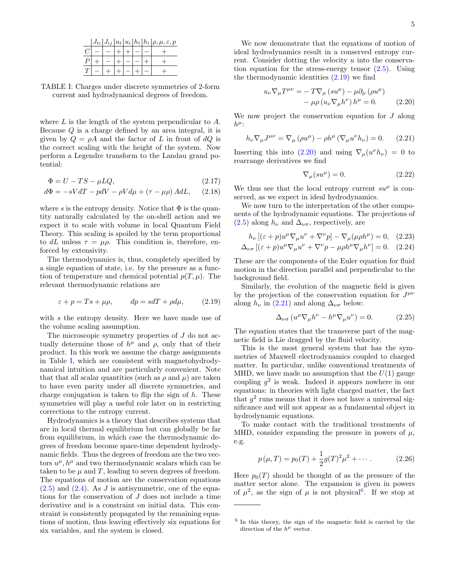<span id="page-5-0"></span>

|  |  |  | $ J_{ti} J_{ij} u_t u_i h_t h_i \rho,\mu,\varepsilon,p$ |
|--|--|--|---------------------------------------------------------|
|  |  |  |                                                         |
|  |  |  |                                                         |
|  |  |  |                                                         |

TABLE I: Charges under discrete symmetries of 2-form current and hydrodynamical degrees of freedom.

where  $L$  is the length of the system perpendicular to  $A$ . Because Q is a charge defined by an area integral, it is given by  $Q = \rho A$  and the factor of L in front of dQ is the correct scaling with the height of the system. Now perform a Legendre transform to the Landau grand potential:

$$
\Phi = U - TS - \mu LQ, \qquad (2.17)
$$

$$
d\Phi = -sVdT - pdV - \rho Vd\mu + (\tau - \mu \rho) AdL, \quad (2.18)
$$

where s is the entropy density. Notice that  $\Phi$  is the quantity naturally calculated by the on-shell action and we expect it to scale with volume in local Quantum Field Theory. This scaling is spoiled by the term proportional to dL unless  $\tau = \mu \rho$ . This condition is, therefore, enforced by extensivity.

The thermodynamics is, thus, completely specified by a single equation of state, i.e. by the pressure as a function of temperature and chemical potential  $p(T, \mu)$ . The relevant thermodynamic relations are

$$
\varepsilon + p = Ts + \mu \rho, \qquad dp = sdT + \rho d\mu, \qquad (2.19)
$$

with s the entropy density. Here we have made use of the volume scaling assumption.

The microscopic symmetry properties of J do not actually determine those of  $h^{\mu}$  and  $\rho$ , only that of their product. In this work we assume the charge assignments in Table [I,](#page-5-0) which are consistent with magnetohydrodynamical intuition and are particularly convenient. Note that that all scalar quantities (such as  $\rho$  and  $\mu$ ) are taken to have even parity under all discrete symmetries, and charge conjugation is taken to flip the sign of  $h$ . These symmetries will play a useful role later on in restricting corrections to the entropy current.

Hydrodynamics is a theory that describes systems that are in local thermal equilibrium but can globally be far from equilibrium, in which case the thermodynamic degrees of freedom become space-time dependent hydrodynamic fields. Thus the degrees of freedom are the two vectors  $u^{\mu}$ ,  $h^{\mu}$  and two thermodynamic scalars which can be taken to be  $\mu$  and  $T$ , leading to seven degrees of freedom. The equations of motion are the conservation equations  $(2.5)$  and  $(2.4)$ . As J is antisymmetric, one of the equations for the conservation of J does not include a time derivative and is a constraint on initial data. This constraint is consistently propagated by the remaining equations of motion, thus leaving effectively six equations for six variables, and the system is closed.

We now demonstrate that the equations of motion of ideal hydrodynamics result in a conserved entropy current. Consider dotting the velocity u into the conservation equation for the stress-energy tensor  $(2.5)$ . Using the thermodynamic identities [\(2.19\)](#page-5-1) we find

$$
u_{\nu} \nabla_{\mu} T^{\mu \nu} = -T \nabla_{\mu} (s u^{\mu}) - \mu \partial_{\mu} (\rho u^{\mu})
$$
  
-  $\mu \rho (u_{\nu} \nabla_{\mu} h^{\nu}) h^{\mu} = 0.$  (2.20)

We now project the conservation equation for  $J$  along  $h^\mu$ :

<span id="page-5-3"></span>
$$
h_{\nu}\nabla_{\mu}J^{\mu\nu} = \nabla_{\mu} \left(\rho u^{\mu}\right) - \rho h^{\mu} \left(\nabla_{\mu}u^{\nu}h_{\nu}\right) = 0. \quad (2.21)
$$

Inserting this into [\(2.20\)](#page-5-2) and using  $\nabla_{\mu}(u^{\nu}h_{\nu}) = 0$  to rearrange derivatives we find

<span id="page-5-2"></span>
$$
\nabla_{\mu}(su^{\mu}) = 0. \tag{2.22}
$$

We thus see that the local entropy current  $su^{\mu}$  is conserved, as we expect in ideal hydrodynamics.

We now turn to the interpretation of the other components of the hydrodynamic equations. The projections of  $(2.5)$  along  $h_{\nu}$  and  $\Delta_{\nu\sigma}$ , respectively, are

$$
h_{\nu} \left[ (\varepsilon + p) u^{\mu} \nabla_{\mu} u^{\nu} + \nabla^{\nu} p \right] - \nabla_{\mu} (\mu \rho h^{\mu}) = 0, \quad (2.23)
$$
  

$$
\Delta_{\nu \sigma} \left[ (\varepsilon + p) u^{\mu} \nabla_{\mu} u^{\nu} + \nabla^{\nu} p - \mu \rho h^{\mu} \nabla_{\mu} h^{\nu} \right] = 0. \quad (2.24)
$$

These are the components of the Euler equation for fluid motion in the direction parallel and perpendicular to the background field.

<span id="page-5-1"></span>Similarly, the evolution of the magnetic field is given by the projection of the conservation equation for  $J^{\mu\nu}$ along  $h_{\nu}$  in [\(2.21\)](#page-5-3) and along  $\Delta_{\nu\sigma}$  below:

$$
\Delta_{\nu\sigma} \left( u^{\mu} \nabla_{\mu} h^{\nu} - h^{\mu} \nabla_{\mu} u^{\nu} \right) = 0. \tag{2.25}
$$

The equation states that the transverse part of the magnetic field is Lie dragged by the fluid velocity.

This is the most general system that has the symmetries of Maxwell electrodynamics coupled to charged matter. In particular, unlike conventional treatments of MHD, we have made no assumption that the  $U(1)$  gauge coupling  $g^2$  is weak. Indeed it appears nowhere in our equations: in theories with light charged matter, the fact that  $g^2$  runs means that it does not have a universal significance and will not appear as a fundamental object in hydrodynamic equations.

To make contact with the traditional treatments of MHD, consider expanding the pressure in powers of  $\mu$ , e.g.

<span id="page-5-5"></span>
$$
p(\mu, T) = p_0(T) + \frac{1}{2}g(T)^2\mu^2 + \cdots
$$
 (2.26)

Here  $p_0(T)$  should be thought of as the pressure of the matter sector alone. The expansion is given in powers of  $\mu^2$ , as the sign of  $\mu$  is not physical<sup>[6](#page-5-4)</sup>. If we stop at

<span id="page-5-4"></span><sup>6</sup> In this theory, the sign of the magnetic field is carried by the direction of the  $h^{\mu}$  vector.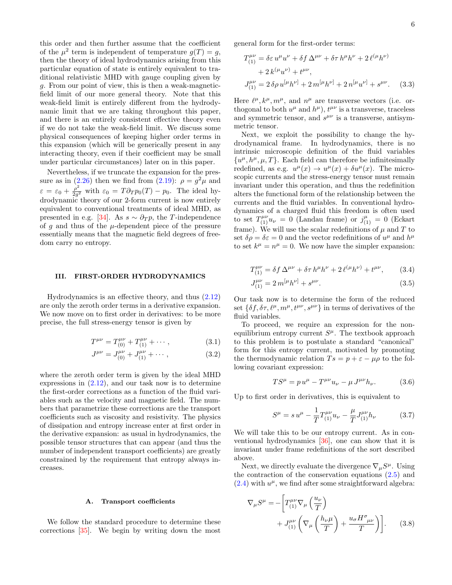this order and then further assume that the coefficient of the  $\mu^2$  term is independent of temperature  $g(T) = g$ , then the theory of ideal hydrodynamics arising from this particular equation of state is entirely equivalent to traditional relativistic MHD with gauge coupling given by g. From our point of view, this is then a weak-magneticfield limit of our more general theory. Note that this weak-field limit is entirely different from the hydrodynamic limit that we are taking throughout this paper, and there is an entirely consistent effective theory even if we do not take the weak-field limit. We discuss some physical consequences of keeping higher order terms in this expansion (which will be generically present in any interacting theory, even if their coefficient may be small under particular circumstances) later on in this paper.

Nevertheless, if we truncate the expansion for the pres-sure as in [\(2.26\)](#page-5-5) then we find from [\(2.19\)](#page-5-1):  $\rho = g^2 \mu$  and  $\varepsilon = \varepsilon_0 + \frac{\rho^2}{2a^2}$  $\frac{\rho}{2g^2}$  with  $\varepsilon_0 = T \partial_T p_0(T) - p_0$ . The ideal hydrodynamic theory of our 2-form current is now entirely equivalent to conventional treatments of ideal MHD, as presented in e.g. [\[34\]](#page-21-22). As  $s \sim \partial_T p$ , the T-independence of q and thus of the  $\mu$ -dependent piece of the pressure essentially means that the magnetic field degrees of freedom carry no entropy.

#### <span id="page-6-0"></span>III. FIRST-ORDER HYDRODYNAMICS

Hydrodynamics is an effective theory, and thus [\(2.12\)](#page-4-4) are only the zeroth order terms in a derivative expansion. We now move on to first order in derivatives: to be more precise, the full stress-energy tensor is given by

$$
T^{\mu\nu} = T_{(0)}^{\mu\nu} + T_{(1)}^{\mu\nu} + \cdots, \qquad (3.1)
$$

$$
J^{\mu\nu} = J^{\mu\nu}_{(0)} + J^{\mu\nu}_{(1)} + \cdots, \qquad (3.2)
$$

where the zeroth order term is given by the ideal MHD expressions in [\(2.12\)](#page-4-4), and our task now is to determine the first-order corrections as a function of the fluid variables such as the velocity and magnetic field. The numbers that parametrize these corrections are the transport coefficients such as viscosity and resistivity. The physics of dissipation and entropy increase enter at first order in the derivative expansion: as usual in hydrodynamics, the possible tensor structures that can appear (and thus the number of independent transport coefficients) are greatly constrained by the requirement that entropy always increases.

#### <span id="page-6-1"></span>A. Transport coefficients

We follow the standard procedure to determine these corrections [\[35\]](#page-21-23). We begin by writing down the most general form for the first-order terms:

<span id="page-6-4"></span>
$$
T_{(1)}^{\mu\nu} = \delta \varepsilon u^{\mu} u^{\nu} + \delta f \Delta^{\mu\nu} + \delta \tau h^{\mu} h^{\nu} + 2 \ell^{(\mu} h^{\nu)} + 2 k^{(\mu} u^{\nu)} + t^{\mu\nu}, J_{(1)}^{\mu\nu} = 2 \delta \rho u^{[\mu} h^{\nu]} + 2 m^{[\mu} h^{\nu]} + 2 n^{[\mu} u^{\nu]} + s^{\mu\nu}. \quad (3.3)
$$

Here  $\ell^{\mu}, k^{\mu}, m^{\mu}$ , and  $n^{\mu}$  are transverse vectors (i.e. orthogonal to both  $u^{\mu}$  and  $h^{\mu}$ ),  $t^{\mu\nu}$  is a transverse, traceless and symmetric tensor, and  $s^{\mu\nu}$  is a transverse, antisymmetric tensor.

Next, we exploit the possibility to change the hydrodynamical frame. In hydrodynamics, there is no intrinsic microscopic definition of the fluid variables  $\{u^{\mu}, h^{\mu}, \mu, T\}$ . Each field can therefore be infinitesimally redefined, as e.g.  $u^{\mu}(x) \rightarrow u^{\mu}(x) + \delta u^{\mu}(x)$ . The microscopic currents and the stress-energy tensor must remain invariant under this operation, and thus the redefinition alters the functional form of the relationship between the currents and the fluid variables. In conventional hydrodynamics of a charged fluid this freedom is often used to set  $T^{\mu\nu}_{(1)}u_{\nu} = 0$  (Landau frame) or  $j^{\mu}_{(1)} = 0$  (Eckart frame). We will use the scalar redefinitions of  $\mu$  and  $T$  to set  $\delta \rho = \delta \varepsilon = 0$  and the vector redefinitions of  $u^{\mu}$  and  $h^{\mu}$ to set  $k^{\mu} = n^{\mu} = 0$ . We now have the simpler expansion:

$$
T_{(1)}^{\mu\nu} = \delta f \,\Delta^{\mu\nu} + \delta \tau \, h^{\mu} h^{\nu} + 2 \,\ell^{(\mu} h^{\nu)} + t^{\mu\nu},\qquad(3.4)
$$

<span id="page-6-5"></span>
$$
J_{(1)}^{\mu\nu} = 2m^{[\mu}h^{\nu]} + s^{\mu\nu}.
$$
\n(3.5)

Our task now is to determine the form of the reduced set  $\{\delta f, \delta \tau, \ell^{\mu}, m^{\mu}, t^{\mu\nu}, s^{\mu\nu}\}\$  in terms of derivatives of the fluid variables.

To proceed, we require an expression for the nonequilibrium entropy current  $S^{\mu}$ . The textbook approach to this problem is to postulate a standard "canonical" form for this entropy current, motivated by promoting the thermodynamic relation  $Ts = p + \varepsilon - \mu \rho$  to the following covariant expression:

$$
TS^{\mu} = p u^{\mu} - T^{\mu\nu} u_{\nu} - \mu J^{\mu\nu} h_{\nu}.
$$
 (3.6)

Up to first order in derivatives, this is equivalent to

<span id="page-6-3"></span>
$$
S^{\mu} = s u^{\mu} - \frac{1}{T} T^{\mu\nu}_{(1)} u_{\nu} - \frac{\mu}{T} J^{\mu\nu}_{(1)} h_{\nu}
$$
 (3.7)

We will take this to be our entropy current. As in conventional hydrodynamics [\[36\]](#page-21-24), one can show that it is invariant under frame redefinitions of the sort described above.

Next, we directly evaluate the divergence  $\nabla_{\mu}S^{\mu}$ . Using the contraction of the conservation equations [\(2.5\)](#page-3-4) and  $(2.4)$  with  $u^{\mu}$ , we find after some straightforward algebra:

<span id="page-6-2"></span>
$$
\nabla_{\mu}S^{\mu} = -\left[T_{(1)}^{\mu\nu}\nabla_{\mu}\left(\frac{u_{\nu}}{T}\right) + J_{(1)}^{\mu\nu}\left(\nabla_{\mu}\left(\frac{h_{\nu}\mu}{T}\right) + \frac{u_{\sigma}H^{\sigma}_{\mu\nu}}{T}\right)\right].
$$
 (3.8)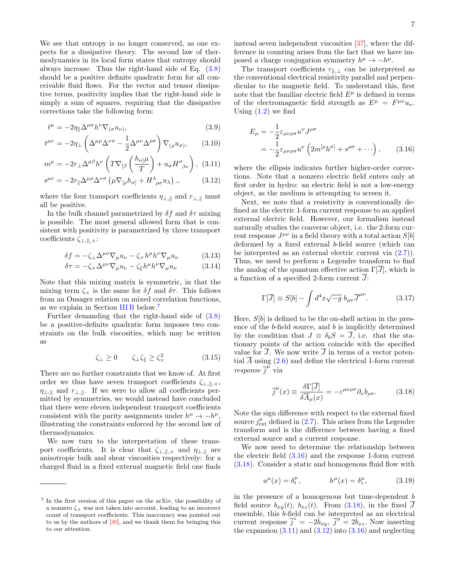We see that entropy is no longer conserved, as one expects for a dissipative theory. The second law of thermodynamics in its local form states that entropy should always increase. Thus the right-hand side of Eq. [\(3.8\)](#page-6-2) should be a positive definite quadratic form for all conceivable fluid flows. For the vector and tensor dissipative terms, positivity implies that the right-hand side is simply a sum of squares, requiring that the dissipative corrections take the following form:

$$
\ell^{\mu} = -2\eta_{\parallel} \Delta^{\mu\sigma} h^{\nu} \nabla_{(\sigma} u_{\nu)},\tag{3.9}
$$

$$
t^{\mu\nu} = -2\eta_{\perp} \left( \Delta^{\mu\rho} \Delta^{\nu\sigma} - \frac{1}{2} \Delta^{\mu\nu} \Delta^{\rho\sigma} \right) \nabla_{(\rho} u_{\sigma)}, \qquad (3.10)
$$

$$
m^{\mu} = -2r_{\perp} \Delta^{\mu\beta} h^{\nu} \left( T \nabla_{[\beta} \left( \frac{h_{\nu\vert} \mu}{T} \right) + u_{\sigma} H^{\sigma}_{\beta\nu} \right), (3.11)
$$

$$
s^{\mu\nu} = -2r_{\parallel} \Delta^{\mu\rho} \Delta^{\nu\sigma} \left( \mu \nabla_{[\rho} h_{\sigma]} + H^{\lambda}{}_{\rho\sigma} u_{\lambda} \right), \qquad (3.12)
$$

where the four transport coefficients  $\eta_{\perp,\parallel}$  and  $r_{\perp,\parallel}$  must all be positive.

In the bulk channel parametrized by  $\delta f$  and  $\delta \tau$  mixing is possible. The most general allowed form that is consistent with positivity is parametrized by three transport coefficients  $\zeta_{\perp,\parallel,\times}$ :

$$
\delta f = -\zeta_{\perp} \Delta^{\mu \nu} \nabla_{\mu} u_{\nu} - \zeta_{\times} h^{\mu} h^{\nu} \nabla_{\mu} u_{\nu}
$$
 (3.13)

$$
\delta \tau = -\zeta_{\times} \Delta^{\mu \nu} \nabla_{\mu} u_{\nu} - \zeta_{\parallel} h^{\mu} h^{\nu} \nabla_{\mu} u_{\nu}
$$
 (3.14)

Note that this mixing matrix is symmetric, in that the mixing term  $\zeta_{\times}$  is the same for  $\delta f$  and  $\delta \tau$ . This follows from an Onsager relation on mixed correlation functions, as we explain in Section [III B](#page-8-0) below.[7](#page-7-0)

Further demanding that the right-hand side of [\(3.8\)](#page-6-2) be a positive-definite quadratic form imposes two constraints on the bulk viscosities, which may be written as

$$
\zeta_{\perp} \ge 0 \qquad \zeta_{\perp} \zeta_{\parallel} \ge \zeta_{\times}^2 \tag{3.15}
$$

There are no further constraints that we know of. At first order we thus have seven transport coefficients  $\zeta_{\perp,\parallel,\times}$ ,  $\eta_{\perp,\parallel}$  and  $r_{\perp,\parallel}$ . If we were to allow all coefficients permitted by symmetries, we would instead have concluded that there were eleven independent transport coefficients consistent with the parity assignments under  $h^{\mu} \to -h^{\mu}$ , illustrating the constraints enforced by the second law of thermodynamics.

We now turn to the interpretation of these transport coefficients. It is clear that  $\zeta_{\perp,\parallel,\times}$  and  $\eta_{\perp,\parallel}$  are anisotropic bulk and shear viscosities respectively: for a charged fluid in a fixed external magnetic field one finds instead seven independent viscosities [\[37\]](#page-21-25), where the difference in counting arises from the fact that we have imposed a charge conjugation symmetry  $h^{\mu} \to -h^{\mu}$ .

The transport coefficients  $r_{\parallel,\perp}$  can be interpreted as the conventional electrical resistivity parallel and perpendicular to the magnetic field. To understand this, first note that the familiar electric field  $E^{\mu}$  is defined in terms of the electromagnetic field strength as  $E^{\mu} = F^{\mu\nu} u_{\nu}$ . Using  $(1.2)$  we find

<span id="page-7-6"></span><span id="page-7-1"></span>
$$
E_{\mu} = -\frac{1}{2} \varepsilon_{\mu\nu\rho\sigma} u^{\nu} J^{\rho\sigma}
$$
  
=  $-\frac{1}{2} \varepsilon_{\mu\nu\rho\sigma} u^{\nu} \left( 2m^{[\rho} h^{\sigma]} + s^{\rho\sigma} + \cdots \right),$  (3.16)

<span id="page-7-4"></span><span id="page-7-3"></span>where the ellipsis indicates further higher-order corrections. Note that a nonzero electric field enters only at first order in hydro: an electric field is not a low-energy object, as the medium is attempting to screen it.

<span id="page-7-8"></span>Next, we note that a resistivity is conventionally defined as the electric 1-form current response to an applied external electric field. However, our formalism instead naturally studies the converse object, i.e. the 2-form current response  $J^{\mu\nu}$  in a field theory with a total action  $S[b]$ deformed by a fixed external b-field source (which can be interpreted as an external electric current via [\(2.7\)](#page-4-2)). Thus, we need to perform a Legendre transform to find the analog of the quantum effective action  $\Gamma[\overline{J}]$ , which is a function of a specified 2-form current  $J$ :

$$
\Gamma[\overline{J}] \equiv S[b] - \int d^4x \sqrt{-g} \; b_{\mu\nu} \overline{J}^{\mu\nu}.
$$
 (3.17)

<span id="page-7-7"></span>Here,  $S[b]$  is defined to be the on-shell action in the presence of the b-field source, and b is implicitly determined by the condition that  $J \equiv \delta_b S = \overline{J}$ , i.e. that the stationary points of the action coincide with the specified value for  $\overline{J}$ . We now write  $\overline{J}$  in terms of a vector potential  $\overline{A}$  using [\(2.6\)](#page-3-3) and define the electrical 1-form current  $response \bar{j}^{\mu}$  via

<span id="page-7-2"></span>
$$
\overline{j}^{\mu}(x) \equiv \frac{\delta \Gamma[\overline{J}]}{\delta \overline{A}_{\mu}(x)} = -\varepsilon^{\mu\nu\rho\sigma} \partial_{\nu} b_{\rho\sigma}.
$$
 (3.18)

Note the sign difference with respect to the external fixed source  $j_{\text{ext}}^{\mu}$  defined in [\(2.7\)](#page-4-2). This arises from the Legendre transform and is the difference between having a fixed external source and a current response.

We now need to determine the relationship between the electric field  $(3.16)$  and the response 1-form current [\(3.18\)](#page-7-2). Consider a static and homogenous fluid flow with

<span id="page-7-5"></span>
$$
u^{\mu}(x) = \delta_t^{\mu}, \qquad h^{\mu}(x) = \delta_z^{\mu}, \qquad (3.19)
$$

in the presence of a homogenous but time-dependent b field source  $b_{xy}(t)$ ,  $b_{xz}(t)$ . From  $(3.18)$ , in the fixed J ensemble, this b-field can be interpreted as an electrical current response  $\overline{j}^z = -2b_{xy}$ ,  $\overline{j}^y = 2b_{xz}$ . Now inserting the expansion  $(3.11)$  and  $(3.12)$  into  $(3.16)$  and neglecting

<span id="page-7-0"></span><sup>7</sup> In the first version of this paper on the arXiv, the possibility of a nonzero  $\zeta_{\times}$  was not taken into account, leading to an incorrect count of transport coefficients. This inaccuracy was pointed out to us by the authors of [\[30\]](#page-21-18), and we thank them for bringing this to our attention.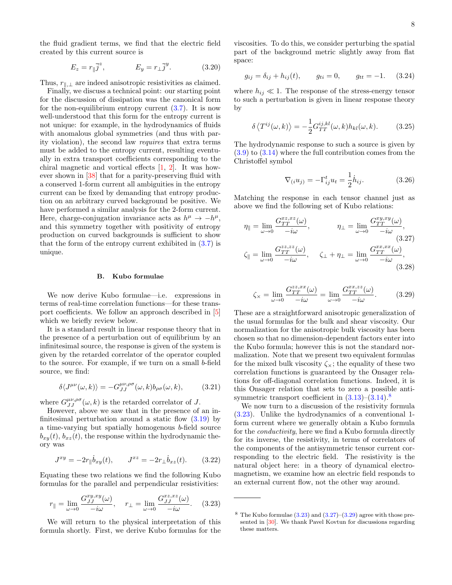the fluid gradient terms, we find that the electric field created by this current source is

$$
E_z = r_{\parallel} \overline{j}^z, \qquad E_y = r_{\perp} \overline{j}^y. \qquad (3.20)
$$

Thus,  $r_{\parallel,\perp}$  are indeed anisotropic resistivities as claimed.

Finally, we discuss a technical point: our starting point for the discussion of dissipation was the canonical form for the non-equilibrium entropy current  $(3.7)$ . It is now well-understood that this form for the entropy current is not unique: for example, in the hydrodynamics of fluids with anomalous global symmetries (and thus with parity violation), the second law requires that extra terms must be added to the entropy current, resulting eventually in extra transport coefficients corresponding to the chiral magnetic and vortical effects [\[1,](#page-20-2) [2\]](#page-21-26). It was however shown in [\[38\]](#page-21-27) that for a parity-preserving fluid with a conserved 1-form current all ambiguities in the entropy current can be fixed by demanding that entropy production on an arbitrary curved background be positive. We have performed a similar analysis for the 2-form current. Here, charge-conjugation invariance acts as  $h^{\mu} \to -h^{\mu}$ , and this symmetry together with positivity of entropy production on curved backgrounds is sufficient to show that the form of the entropy current exhibited in  $(3.7)$  is unique.

#### <span id="page-8-0"></span>B. Kubo formulae

We now derive Kubo formulae—i.e. expressions in terms of real-time correlation functions—for these transport coefficients. We follow an approach described in [\[5\]](#page-21-2) which we briefly review below.

It is a standard result in linear response theory that in the presence of a perturbation out of equilibrium by an infinitesimal source, the response is given of the system is given by the retarded correlator of the operator coupled to the source. For example, if we turn on a small b-field source, we find:

$$
\delta \langle J^{\mu\nu}(\omega, k) \rangle = -G_{JJ}^{\mu\nu, \rho\sigma}(\omega, k) b_{\rho\sigma}(\omega, k), \qquad (3.21)
$$

where  $G_{JJ}^{\mu\nu,\rho\sigma}(\omega,k)$  is the retarded correlator of J.

However, above we saw that in the presence of an infinitesimal perturbation around a static flow  $(3.19)$  by a time-varying but spatially homogenous b-field source  $b_{x,y}(t)$ ,  $b_{xz}(t)$ , the response within the hydrodynamic theory was

$$
J^{xy} = -2r_{\parallel} \dot{b}_{xy}(t), \qquad J^{xz} = -2r_{\perp} \dot{b}_{xz}(t). \qquad (3.22)
$$

Equating these two relations we find the following Kubo formulas for the parallel and perpendicular resistivities:

$$
r_{\parallel} = \lim_{\omega \to 0} \frac{G_{JJ}^{xy,xy}(\omega)}{-i\omega}, \quad r_{\perp} = \lim_{\omega \to 0} \frac{G_{JJ}^{xz,xz}(\omega)}{-i\omega}.
$$
 (3.23)

We will return to the physical interpretation of this formula shortly. First, we derive Kubo formulas for the viscosities. To do this, we consider perturbing the spatial part of the background metric slightly away from flat space:

$$
g_{ij} = \delta_{ij} + h_{ij}(t), \qquad g_{ti} = 0, \qquad g_{tt} = -1.
$$
 (3.24)

where  $h_{ij} \ll 1$ . The response of the stress-energy tensor to such a perturbation is given in linear response theory by

$$
\delta \langle T^{ij}(\omega, k) \rangle = -\frac{1}{2} G_{TT}^{ij,kl}(\omega, k) h_{kl}(\omega, k). \tag{3.25}
$$

The hydrodynamic response to such a source is given by  $(3.9)$  to  $(3.14)$  where the full contribution comes from the Christoffel symbol

<span id="page-8-3"></span>
$$
\nabla_{(i}u_{j)} = -\Gamma^{t}_{ij}u_{t} = \frac{1}{2}\dot{h}_{ij}.
$$
 (3.26)

Matching the response in each tensor channel just as above we find the following set of Kubo relations:

$$
\eta_{\parallel} = \lim_{\omega \to 0} \frac{G_{TT}^{xz,xz}(\omega)}{-i\omega}, \qquad \eta_{\perp} = \lim_{\omega \to 0} \frac{G_{TT}^{xy,xy}(\omega)}{-i\omega},
$$
\n
$$
\zeta_{\parallel} = \lim_{\omega \to 0} \frac{G_{TT}^{zz,zz}(\omega)}{-i\omega}, \qquad \zeta_{\perp} + \eta_{\perp} = \lim_{\omega \to 0} \frac{G_{TT}^{xx,xx}(\omega)}{-i\omega},
$$
\n(3.27)\n(3.28)

<span id="page-8-4"></span>
$$
\zeta_{\times} = \lim_{\omega \to 0} \frac{G_{TT}^{zz,xx}(\omega)}{-i\omega} = \lim_{\omega \to 0} \frac{G_{TT}^{xx,zz}(\omega)}{-i\omega}.
$$
 (3.29)

These are a straightforward anisotropic generalization of the usual formulas for the bulk and shear viscosity. Our normalization for the anisotropic bulk viscosity has been chosen so that no dimension-dependent factors enter into the Kubo formula; however this is not the standard normalization. Note that we present two equivalent formulas for the mixed bulk viscosity  $\zeta_{\times}$ ; the equality of these two correlation functions is guaranteed by the Onsager relations for off-diagonal correlation functions. Indeed, it is this Onsager relation that sets to zero a possible antisymmetric transport coefficient in  $(3.13)$ – $(3.14)$ .<sup>[8](#page-8-1)</sup>

We now turn to a discussion of the resistivity formula [\(3.23\)](#page-8-2). Unlike the hydrodynamics of a conventional 1 form current where we generally obtain a Kubo formula for the conductivity, here we find a Kubo formula directly for its inverse, the resistivity, in terms of correlators of the components of the antisymmetric tensor current corresponding to the electric field. The resistivity is the natural object here: in a theory of dynamical electromagnetism, we examine how an electric field responds to an external current flow, not the other way around.

<span id="page-8-2"></span><span id="page-8-1"></span><sup>&</sup>lt;sup>8</sup> The Kubo formulae  $(3.23)$  and  $(3.27)$ – $(3.29)$  agree with those presented in [\[30\]](#page-21-18). We thank Pavel Kovtun for discussions regarding these matters.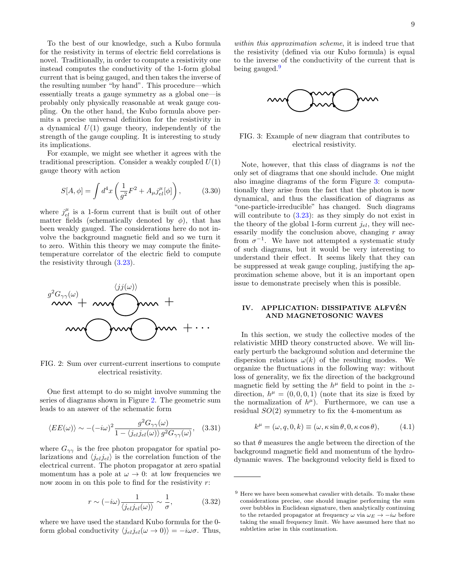To the best of our knowledge, such a Kubo formula for the resistivity in terms of electric field correlations is novel. Traditionally, in order to compute a resistivity one instead computes the conductivity of the 1-form global current that is being gauged, and then takes the inverse of the resulting number "by hand". This procedure—which essentially treats a gauge symmetry as a global one—is probably only physically reasonable at weak gauge coupling. On the other hand, the Kubo formula above permits a precise universal definition for the resistivity in a dynamical  $U(1)$  gauge theory, independently of the strength of the gauge coupling. It is interesting to study its implications.

For example, we might see whether it agrees with the traditional prescription. Consider a weakly coupled  $U(1)$ gauge theory with action

$$
S[A, \phi] = \int d^4x \left( \frac{1}{g^2} F^2 + A_\mu j_{el}^\mu [\phi] \right), \quad (3.30)
$$

where  $j_{el}^{\mu}$  is a 1-form current that is built out of other matter fields (schematically denoted by  $\phi$ ), that has been weakly gauged. The considerations here do not involve the background magnetic field and so we turn it to zero. Within this theory we may compute the finitetemperature correlator of the electric field to compute the resistivity through [\(3.23\)](#page-8-2).

<span id="page-9-1"></span>

FIG. 2: Sum over current-current insertions to compute electrical resistivity.

One first attempt to do so might involve summing the series of diagrams shown in Figure [2.](#page-9-1) The geometric sum leads to an answer of the schematic form

$$
\langle EE(\omega)\rangle \sim -(-i\omega)^2 \frac{g^2 G_{\gamma\gamma}(\omega)}{1 - \langle j_{el} j_{el}(\omega) \rangle g^2 G_{\gamma\gamma}(\omega)}, \quad (3.31)
$$

where  $G_{\gamma\gamma}$  is the free photon propagator for spatial polarizations and  $\langle j_{el} j_{el} \rangle$  is the correlation function of the electrical current. The photon propagator at zero spatial momentum has a pole at  $\omega \to 0$ : at low frequencies we now zoom in on this pole to find for the resistivity  $r$ :

$$
r \sim (-i\omega) \frac{1}{\langle j_{el} j_{el}(\omega) \rangle} \sim \frac{1}{\sigma}, \tag{3.32}
$$

where we have used the standard Kubo formula for the 0 form global conductivity  $\langle j_{el} j_{el}(\omega \to 0) \rangle = -i\omega\sigma$ . Thus,

within this approximation scheme, it is indeed true that the resistivity (defined via our Kubo formula) is equal to the inverse of the conductivity of the current that is being gauged.<sup>[9](#page-9-2)</sup>

<span id="page-9-3"></span>

FIG. 3: Example of new diagram that contributes to electrical resistivity.

Note, however, that this class of diagrams is not the only set of diagrams that one should include. One might also imagine diagrams of the form Figure [3:](#page-9-3) computationally they arise from the fact that the photon is now dynamical, and thus the classification of diagrams as "one-particle-irreducible" has changed. Such diagrams will contribute to  $(3.23)$ : as they simply do not exist in the theory of the global 1-form current  $j_{el}$ , they will necessarily modify the conclusion above, changing  $r$  away from  $\sigma^{-1}$ . We have not attempted a systematic study of such diagrams, but it would be very interesting to understand their effect. It seems likely that they can be suppressed at weak gauge coupling, justifying the approximation scheme above, but it is an important open issue to demonstrate precisely when this is possible.

#### <span id="page-9-0"></span>IV. APPLICATION: DISSIPATIVE ALFVÉN AND MAGNETOSONIC WAVES

In this section, we study the collective modes of the relativistic MHD theory constructed above. We will linearly perturb the background solution and determine the dispersion relations  $\omega(k)$  of the resulting modes. We organize the fluctuations in the following way: without loss of generality, we fix the direction of the background magnetic field by setting the  $h^{\mu}$  field to point in the zdirection,  $h^{\mu} = (0, 0, 0, 1)$  (note that its size is fixed by the normalization of  $h^{\mu}$ ). Furthermore, we can use a residual  $SO(2)$  symmetry to fix the 4-momentum as

$$
k^{\mu} = (\omega, q, 0, k) \equiv (\omega, \kappa \sin \theta, 0, \kappa \cos \theta), \tag{4.1}
$$

so that  $\theta$  measures the angle between the direction of the background magnetic field and momentum of the hydrodynamic waves. The background velocity field is fixed to

<span id="page-9-2"></span> $9\text{ Here we have been somewhat cavalier with details. To make these$ considerations precise, one should imagine performing the sum over bubbles in Euclidean signature, then analytically continuing to the retarded propagator at frequency  $\omega$  via  $\omega_E \rightarrow -i\omega$  before taking the small frequency limit. We have assumed here that no subtleties arise in this continuation.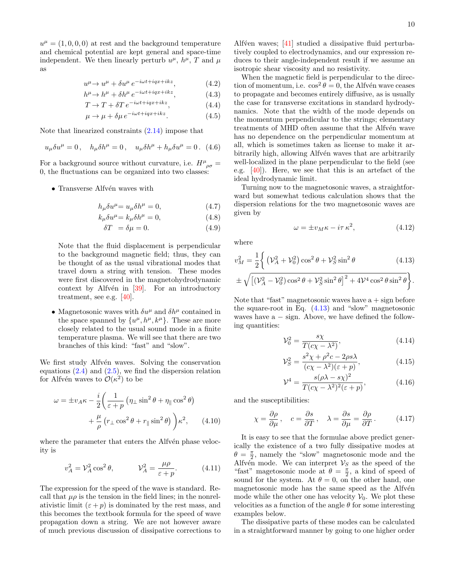$u^{\mu} = (1, 0, 0, 0)$  at rest and the background temperature and chemical potential are kept general and space-time independent. We then linearly perturb  $u^{\mu}$ ,  $h^{\mu}$ , T and  $\mu$ as

$$
u^{\mu} \to u^{\mu} + \delta u^{\mu} e^{-i\omega t + iqx + ikz}, \qquad (4.2)
$$

$$
h^{\mu} \to h^{\mu} + \delta h^{\mu} e^{-i\omega t + iqx + ikz}, \qquad (4.3)
$$

$$
T \to T + \delta T \, e^{-i\omega t + iqx + ikz},\tag{4.4}
$$

$$
\mu \to \mu + \delta \mu \, e^{-i\omega t + iqx + ikz}.\tag{4.5}
$$

Note that linearized constraints [\(2.14\)](#page-4-6) impose that

$$
u_{\mu}\delta u^{\mu}=0\,,\quad h_{\mu}\delta h^{\mu}=0\,,\quad u_{\mu}\delta h^{\mu}+h_{\mu}\delta u^{\mu}=0\,.\eqno(4.6)
$$

For a background source without curvature, i.e.  $H^{\mu}{}_{\rho\sigma} =$ 0, the fluctuations can be organized into two classes:

 $\bullet$  Transverse Alfvén waves with

$$
h_{\mu}\delta u^{\mu} = u_{\mu}\delta h^{\mu} = 0, \tag{4.7}
$$

$$
\kappa_{\mu}ow = \kappa_{\mu}ow = 0, \tag{4.8}
$$

$$
\delta T = \delta \mu = 0. \tag{4.9}
$$

Note that the fluid displacement is perpendicular to the background magnetic field; thus, they can be thought of as the usual vibrational modes that travel down a string with tension. These modes were first discovered in the magnetohydrodynamic context by Alfvén in  $[39]$ . For an introductory treatment, see e.g. [\[40\]](#page-22-0).

• Magnetosonic waves with  $\delta u^{\mu}$  and  $\delta h^{\mu}$  contained in the space spanned by  $\{u^{\mu}, h^{\mu}, k^{\mu}\}.$  These are more closely related to the usual sound mode in a finite temperature plasma. We will see that there are two branches of this kind: "fast" and "slow".

We first study Alfvén waves. Solving the conservation equations  $(2.4)$  and  $(2.5)$ , we find the dispersion relation for Alfvén waves to  $\mathcal{O}(\kappa^2)$  to be

$$
\omega = \pm v_A \kappa - \frac{i}{2} \left( \frac{1}{\varepsilon + p} \left( \eta_\perp \sin^2 \theta + \eta_\parallel \cos^2 \theta \right) + \frac{\mu}{\rho} \left( r_\perp \cos^2 \theta + r_\parallel \sin^2 \theta \right) \right) \kappa^2, \qquad (4.10)
$$

where the parameter that enters the Alfvén phase velocity is

$$
v_A^2 = \mathcal{V}_A^2 \cos^2 \theta, \qquad \mathcal{V}_A^2 = \frac{\mu \rho}{\varepsilon + p}.
$$
 (4.11)

The expression for the speed of the wave is standard. Recall that  $\mu \rho$  is the tension in the field lines; in the nonrelativistic limit  $(\varepsilon + p)$  is dominated by the rest mass, and this becomes the textbook formula for the speed of wave propagation down a string. We are not however aware of much previous discussion of dissipative corrections to

Alfvéen waves;  $[41]$  studied a dissipative fluid perturbatively coupled to electrodynamics, and our expression reduces to their angle-independent result if we assume an isotropic shear viscosity and no resistivity.

When the magnetic field is perpendicular to the direction of momentum, i.e.  $\cos^2 \theta = 0$ , the Alfvén wave ceases to propagate and becomes entirely diffusive, as is usually the case for transverse excitations in standard hydrodynamics. Note that the width of the mode depends on the momentum perpendicular to the strings; elementary treatments of MHD often assume that the Alfvén wave has no dependence on the perpendicular momentum at all, which is sometimes taken as license to make it arbitrarily high, allowing Alfvén waves that are arbitrarily well-localized in the plane perpendicular to the field (see e.g. [\[40\]](#page-22-0)). Here, we see that this is an artefact of the ideal hydrodynamic limit.

Turning now to the magnetosonic waves, a straightforward but somewhat tedious calculation shows that the dispersion relations for the two magnetosonic waves are given by

<span id="page-10-0"></span>
$$
\omega = \pm v_M \kappa - i\tau \kappa^2, \qquad (4.12)
$$

where

$$
v_M^2 = \frac{1}{2} \left\{ \left( \mathcal{V}_A^2 + \mathcal{V}_0^2 \right) \cos^2 \theta + \mathcal{V}_S^2 \sin^2 \theta \right\} \n\pm \sqrt{\left[ (\mathcal{V}_A^2 - \mathcal{V}_0^2) \cos^2 \theta + \mathcal{V}_S^2 \sin^2 \theta \right]^2 + 4 \mathcal{V}^4 \cos^2 \theta \sin^2 \theta} \right\}.
$$
\n(4.13)

Note that "fast" magnetosonic waves have  $a + sign$  before the square-root in Eq. [\(4.13\)](#page-10-0) and "slow" magnetosonic waves have  $a - sign$ . Above, we have defined the following quantities:

$$
\mathcal{V}_0^2 = \frac{s\chi}{T(c\chi - \lambda^2)},\tag{4.14}
$$

$$
\mathcal{V}_S^2 = \frac{s^2 \chi + \rho^2 c - 2\rho s \lambda}{(c\chi - \lambda^2)(\varepsilon + p)},\tag{4.15}
$$

$$
\mathcal{V}^4 = \frac{s(\rho \lambda - s \chi)^2}{T(c\chi - \lambda^2)^2(\varepsilon + p)},\tag{4.16}
$$

<span id="page-10-1"></span>and the susceptibilities:

$$
\chi = \frac{\partial \rho}{\partial \mu}, \quad c = \frac{\partial s}{\partial T}, \quad \lambda = \frac{\partial s}{\partial \mu} = \frac{\partial \rho}{\partial T}.
$$
 (4.17)

It is easy to see that the formulae above predict generically the existence of a two fully dissipative modes at  $\theta = \frac{\pi}{2}$ , namely the "slow" magnetosonic mode and the Alfv $\epsilon$ n mode. We can interpret  $\mathcal{V}_S$  as the speed of the "fast" magetosonic mode at  $\theta = \frac{\pi}{2}$ , a kind of speed of sound for the system. At  $\theta = 0$ , on the other hand, one magnetosonic mode has the same speed as the Alfvén mode while the other one has velocity  $V_0$ . We plot these velocities as a function of the angle  $\theta$  for some interesting examples below.

The dissipative parts of these modes can be calculated in a straightforward manner by going to one higher order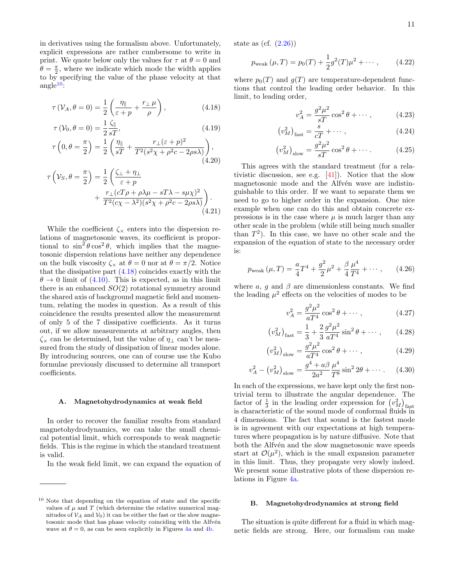in derivatives using the formalism above. Unfortunately, explicit expressions are rather cumbersome to write in print. We quote below only the values for  $\tau$  at  $\theta = 0$  and  $\theta = \frac{\pi}{2}$ , where we indicate which mode the width applies to by specifying the value of the phase velocity at that angle $10$ :

$$
\tau(\mathcal{V}_A, \theta = 0) = \frac{1}{2} \left( \frac{\eta_{\parallel}}{\varepsilon + p} + \frac{r_{\perp} \mu}{\rho} \right), \tag{4.18}
$$

$$
\tau(\mathcal{V}_0, \theta = 0) = \frac{1}{2} \frac{\zeta_{\parallel}}{sT},\tag{4.19}
$$

$$
\tau\left(0,\theta=\frac{\pi}{2}\right)=\frac{1}{2}\left(\frac{\eta_{\parallel}}{sT}+\frac{r_{\perp}(\varepsilon+p)^2}{T^2(s^2\chi+\rho^2c-2\rho s\lambda)}\right),\tag{4.20}
$$

$$
\tau\left(\mathcal{V}_S, \theta = \frac{\pi}{2}\right) = \frac{1}{2} \left( \frac{\zeta_{\perp} + \eta_{\perp}}{\varepsilon + p} + \frac{r_{\perp}(cT\rho + \rho\lambda\mu - sT\lambda - s\mu\chi)^2}{T^2(c\chi - \lambda^2)(s^2\chi + \rho^2c - 2\rho s\lambda)} \right). \tag{4.21}
$$

While the coefficient  $\zeta_{\times}$  enters into the dispersion relations of magnetosonic waves, its coefficient is proportional to  $\sin^2 \theta \cos^2 \theta$ , which implies that the magnetosonic dispersion relations have neither any dependence on the bulk viscosity  $\zeta_{\times}$  at  $\theta = 0$  nor at  $\theta = \pi/2$ . Notice that the dissipative part [\(4.18\)](#page-11-3) coincides exactly with the  $\theta \rightarrow 0$  limit of [\(4.10\)](#page-10-1). This is expected, as in this limit there is an enhanced  $SO(2)$  rotational symmetry around the shared axis of background magnetic field and momentum, relating the modes in question. As a result of this coincidence the results presented allow the measurement of only 5 of the 7 dissipative coefficients. As it turns out, if we allow measurements at arbitrary angles, then  $\zeta_{\times}$  can be determined, but the value of  $\eta_{\perp}$  can't be measured from the study of dissipation of linear modes alone. By introducing sources, one can of course use the Kubo formulae previously discussed to determine all transport coefficients.

#### <span id="page-11-0"></span>A. Magnetohydrodynamics at weak field

In order to recover the familiar results from standard magnetohydrodynamics, we can take the small chemical potential limit, which corresponds to weak magnetic fields. This is the regime in which the standard treatment is valid.

In the weak field limit, we can expand the equation of

state as (cf.  $(2.26)$ )

$$
p_{\text{weak}}(\mu, T) = p_0(T) + \frac{1}{2}g^2(T)\mu^2 + \cdots, \qquad (4.22)
$$

<span id="page-11-3"></span>where  $p_0(T)$  and  $g(T)$  are temperature-dependent functions that control the leading order behavior. In this limit, to leading order,

$$
v_A^2 = \frac{g^2 \mu^2}{sT} \cos^2 \theta + \cdots, \qquad (4.23)
$$

$$
\left(v_M^2\right)_{\text{fast}} = \frac{s}{c} + \cdots,\tag{4.24}
$$

$$
\left(v_M^2\right)_{\text{slow}} = \frac{g^2\mu^2}{sT}\cos^2\theta + \cdots. \tag{4.25}
$$

This agrees with the standard treatment (for a relativistic discussion, see e.g. [\[41\]](#page-22-1)). Notice that the slow magnetosonic mode and the Alfvén wave are indistinguishable to this order. If we want to separate them we need to go to higher order in the expansion. One nice example when one can do this and obtain concrete expressions is in the case where  $\mu$  is much larger than any other scale in the problem (while still being much smaller than  $T^2$ ). In this case, we have no other scale and the expansion of the equation of state to the necessary order is:

$$
p_{\text{weak}}\left(\mu, T\right) = \frac{a}{4}T^4 + \frac{g^2}{2}\mu^2 + \frac{\beta}{4}\frac{\mu^4}{T^4} + \cdots, \qquad (4.26)
$$

where a, q and  $\beta$  are dimensionless constants. We find the leading  $\mu^2$  effects on the velocities of modes to be

<span id="page-11-4"></span>
$$
v_A^2 = \frac{g^2 \mu^2}{aT^4} \cos^2 \theta + \cdots, \qquad (4.27)
$$

$$
\left(v_M^2\right)_{\text{fast}} = \frac{1}{3} + \frac{2}{3} \frac{g^2 \mu^2}{aT^4} \sin^2 \theta + \cdots, \qquad (4.28)
$$

$$
\left(v_M^2\right)_{\text{slow}} = \frac{g^2 \mu^2}{aT^4} \cos^2 \theta + \cdots,\tag{4.29}
$$

$$
v_A^2 - (v_M^2)_{\text{slow}} = \frac{g^4 + a\beta}{2a^2} \frac{\mu^4}{T^8} \sin^2 2\theta + \cdots. \tag{4.30}
$$

In each of the expressions, we have kept only the first nontrivial term to illustrate the angular dependence. The factor of  $\frac{1}{3}$  in the leading order expression for  $(v_M^2)_{\text{fast}}$ is characteristic of the sound mode of conformal fluids in 4 dimensions. The fact that sound is the fastest mode is in agreement with our expectations at high temperatures where propagation is by nature diffusive. Note that both the Alfvén and the slow magnetosonic wave speeds start at  $\mathcal{O}(\mu^2)$ , which is the small expansion parameter in this limit. Thus, they propagate very slowly indeed. We present some illustrative plots of these dispersion relations in Figure [4a.](#page-13-1)

#### <span id="page-11-1"></span>B. Magnetohydrodynamics at strong field

The situation is quite different for a fluid in which magnetic fields are strong. Here, our formalism can make

<span id="page-11-2"></span><sup>10</sup> Note that depending on the equation of state and the specific values of  $\mu$  and  $T$  (which determine the relative numerical magnitudes of  $\mathcal{V}_A$  and  $\mathcal{V}_0$ ) it can be either the fast or the slow magnetosonic mode that has phase velocity coinciding with the Alfvén wave at  $\theta = 0$ , as can be seen explicitly in Figures [4a](#page-13-1) and [4b.](#page-13-1)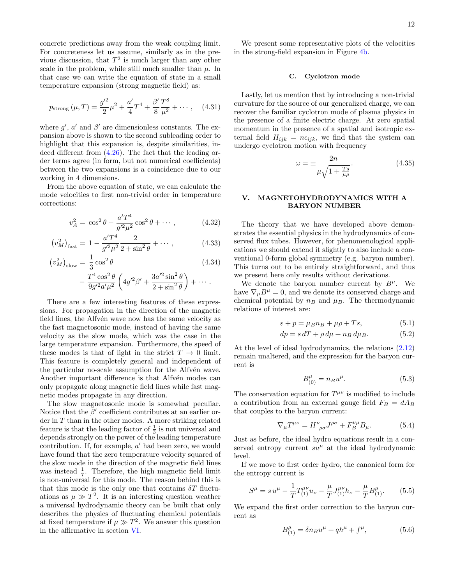concrete predictions away from the weak coupling limit. For concreteness let us assume, similarly as in the previous discussion, that  $T^2$  is much larger than any other scale in the problem, while still much smaller than  $\mu$ . In that case we can write the equation of state in a small temperature expansion (strong magnetic field) as:

<span id="page-12-2"></span>
$$
p_{\text{strong}}\left(\mu, T\right) = \frac{g^{\prime 2}}{2}\mu^2 + \frac{a^{\prime}}{4}T^4 + \frac{\beta^{\prime}}{8}\frac{T^8}{\mu^2} + \cdots, \quad (4.31)
$$

where  $g'$ ,  $a'$  and  $\beta'$  are dimensionless constants. The expansion above is shown to the second subleading order to highlight that this expansion is, despite similarities, indeed different from [\(4.26\)](#page-11-4). The fact that the leading order terms agree (in form, but not numerical coefficients) between the two expansions is a coincidence due to our working in 4 dimensions.

From the above equation of state, we can calculate the mode velocities to first non-trivial order in temperature corrections:

$$
v_A^2 = \cos^2 \theta - \frac{a'T^4}{g'^2\mu^2} \cos^2 \theta + \cdots, \qquad (4.32)
$$

$$
\left(v_M^2\right)_{\text{fast}} = 1 - \frac{a'T^4}{g'^2\mu^2} \frac{2}{2 + \sin^2\theta} + \cdots, \tag{4.33}
$$

$$
\left(v_M^2\right)_{\text{slow}} = \frac{1}{3}\cos^2\theta\tag{4.34}
$$

$$
-\frac{T^4\cos^2\theta}{9g^{\prime 2}a^{\prime}\mu^2}\left(4g^{\prime 2}\beta^{\prime}+\frac{3a^{\prime 2}\sin^2\theta}{2+\sin^2\theta}\right)+\cdots.
$$

There are a few interesting features of these expressions. For propagation in the direction of the magnetic field lines, the Alfven wave now has the same velocity as the fast magnetosonic mode, instead of having the same velocity as the slow mode, which was the case in the large temperature expansion. Furthermore, the speed of these modes is that of light in the strict  $T \to 0$  limit. This feature is completely general and independent of the particular no-scale assumption for the Alfvén wave. Another important difference is that Alfvén modes can only propagate along magnetic field lines while fast magnetic modes propagate in any direction.

The slow magnetosonic mode is somewhat peculiar. Notice that the  $\beta'$  coefficient contributes at an earlier order in  $T$  than in the other modes. A more striking related feature is that the leading factor of  $\frac{1}{3}$  is not universal and depends strongly on the power of the leading temperature contribution. If, for example,  $a'$  had been zero, we would have found that the zero temperature velocity squared of the slow mode in the direction of the magnetic field lines was instead  $\frac{1}{7}$ . Therefore, the high magnetic field limit is non-universal for this mode. The reason behind this is that this mode is the only one that contains  $\delta T$  fluctuations as  $\mu \gg T^2$ . It is an interesting question weather a universal hydrodynamic theory can be built that only describes the physics of fluctuating chemical potentials at fixed temperature if  $\mu \gg T^2$ . We answer this question in the affirmative in section [VI.](#page-13-0)

We present some representative plots of the velocities in the strong-field expansion in Figure [4b.](#page-13-1)

#### <span id="page-12-0"></span>C. Cyclotron mode

Lastly, let us mention that by introducing a non-trivial curvature for the source of our generalized charge, we can recover the familiar cyclotron mode of plasma physics in the presence of a finite electric charge. At zero spatial momentum in the presence of a spatial and isotropic external field  $H_{ijk} = n\epsilon_{ijk}$ , we find that the system can undergo cyclotron motion with frequency

$$
\omega = \pm \frac{2n}{\mu \sqrt{1 + \frac{Ts}{\mu \rho}}}.\tag{4.35}
$$

### <span id="page-12-1"></span>V. MAGNETOHYDRODYNAMICS WITH A BARYON NUMBER

<span id="page-12-3"></span>The theory that we have developed above demonstrates the essential physics in the hydrodynamics of conserved flux tubes. However, for phenomenological applications we should extend it slightly to also include a conventional 0-form global symmetry (e.g. baryon number). This turns out to be entirely straightforward, and thus we present here only results without derivations.

<span id="page-12-4"></span>We denote the baryon number current by  $B^{\mu}$ . We have  $\nabla_{\mu}B^{\mu}=0$ , and we denote its conserved charge and chemical potential by  $n_B$  and  $\mu_B$ . The thermodynamic relations of interest are:

$$
\varepsilon + p = \mu_B n_B + \mu \rho + T s,\tag{5.1}
$$

$$
dp = s dT + \rho d\mu + n_B d\mu_B. \tag{5.2}
$$

At the level of ideal hydrodynamics, the relations [\(2.12\)](#page-4-4) remain unaltered, and the expression for the baryon current is

$$
B_{(0)}^{\mu} = n_B u^{\mu}.
$$
 (5.3)

The conservation equation for  $T^{\mu\nu}$  is modified to include a contribution from an external gauge field  $F_B = dA_B$ that couples to the baryon current:

$$
\nabla_{\mu}T^{\mu\nu} = H^{\nu}{}_{\rho\sigma}J^{\rho\sigma} + F^{\nu\mu}_{B}B_{\mu}.
$$
 (5.4)

Just as before, the ideal hydro equations result in a conserved entropy current  $su^{\mu}$  at the ideal hydrodynamic level.

If we move to first order hydro, the canonical form for the entropy current is

$$
S^{\mu} = s u^{\mu} - \frac{1}{T} T^{\mu\nu}_{(1)} u_{\nu} - \frac{\mu}{T} J^{\mu\nu}_{(1)} h_{\nu} - \frac{\mu}{T} B^{\mu}_{(1)}.
$$
 (5.5)

We expand the first order correction to the baryon current as

$$
B_{(1)}^{\mu} = \delta n_B u^{\mu} + q h^{\mu} + f^{\mu}, \qquad (5.6)
$$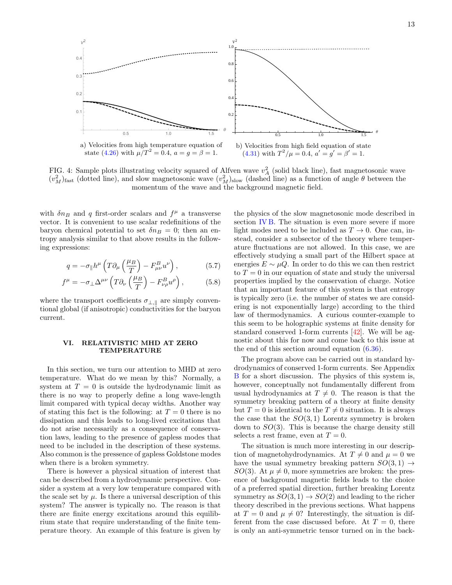<span id="page-13-1"></span>

FIG. 4: Sample plots illustrating velocity squared of Alfven wave  $v_A^2$  (solid black line), fast magnetosonic wave  $(v_M^2)$ <sub>fast</sub> (dotted line), and slow magnetosonic wave  $(v_M^2)_{slow}$  (dashed line) as a function of angle  $\theta$  between the momentum of the wave and the background magnetic field.

with  $\delta n_B$  and q first-order scalars and  $f^{\mu}$  a transverse vector. It is convenient to use scalar redefinitions of the baryon chemical potential to set  $\delta n_B = 0$ ; then an entropy analysis similar to that above results in the following expressions:

$$
q = -\sigma_{\parallel} h^{\mu} \left( T \partial_{\mu} \left( \frac{\mu_B}{T} \right) - F_{\mu \nu}^{B} u^{\nu} \right), \qquad (5.7)
$$

$$
f^{\mu} = -\sigma_{\perp} \Delta^{\mu\nu} \left( T \partial_{\nu} \left( \frac{\mu_B}{T} \right) - F_{\nu \rho}^{B} u^{\rho} \right), \tag{5.8}
$$

where the transport coefficients  $\sigma_{\perp,\parallel}$  are simply conventional global (if anisotropic) conductivities for the baryon current.

#### <span id="page-13-0"></span>VI. RELATIVISTIC MHD AT ZERO TEMPERATURE

In this section, we turn our attention to MHD at zero temperature. What do we mean by this? Normally, a system at  $T = 0$  is outside the hydrodynamic limit as there is no way to properly define a long wave-length limit compared with typical decay widths. Another way of stating this fact is the following: at  $T = 0$  there is no dissipation and this leads to long-lived excitations that do not arise necessarily as a consequence of conservation laws, leading to the presence of gapless modes that need to be included in the description of these systems. Also common is the pressence of gapless Goldstone modes when there is a broken symmetry.

There is however a physical situation of interest that can be described from a hydrodynamic perspective. Consider a system at a very low temperature compared with the scale set by  $\mu$ . Is there a universal description of this system? The answer is typically no. The reason is that there are finite energy excitations around this equilibrium state that require understanding of the finite temperature theory. An example of this feature is given by

the physics of the slow magnetosonic mode described in section [IV B.](#page-11-1) The situation is even more severe if more light modes need to be included as  $T \to 0$ . One can, instead, consider a subsector of the theory where temperature fluctuations are not allowed. In this case, we are effectively studying a small part of the Hilbert space at energies  $E \sim \mu Q$ . In order to do this we can then restrict to  $T = 0$  in our equation of state and study the universal properties implied by the conservation of charge. Notice that an important feature of this system is that entropy is typically zero (i.e. the number of states we are considering is not exponentially large) according to the third law of thermodynamics. A curious counter-example to this seem to be holographic systems at finite density for standard conserved 1-form currents [\[42\]](#page-22-2). We will be agnostic about this for now and come back to this issue at the end of this section around equation [\(6.36\)](#page-17-1).

The program above can be carried out in standard hydrodynamics of conserved 1-form currents. See Appendix [B](#page-19-0) for a short discussion. The physics of this system is, however, conceptually not fundamentally different from usual hydrodynamics at  $T \neq 0$ . The reason is that the symmetry breaking pattern of a theory at finite density but  $T = 0$  is identical to the  $T \neq 0$  situation. It is always the case that the  $SO(3,1)$  Lorentz symmetry is broken down to  $SO(3)$ . This is because the charge density still selects a rest frame, even at  $T = 0$ .

The situation is much more interesting in our description of magnetohydrodynamics. At  $T \neq 0$  and  $\mu = 0$  we have the usual symmetry breaking pattern  $SO(3,1) \rightarrow$ SO(3). At  $\mu \neq 0$ , more symmetries are broken: the presence of background magnetic fields leads to the choice of a preferred spatial direction, further breaking Lorentz symmetry as  $SO(3,1) \rightarrow SO(2)$  and leading to the richer theory described in the previous sections. What happens at  $T = 0$  and  $\mu \neq 0$ ? Interestingly, the situation is different from the case discussed before. At  $T=0$ , there is only an anti-symmetric tensor turned on in the back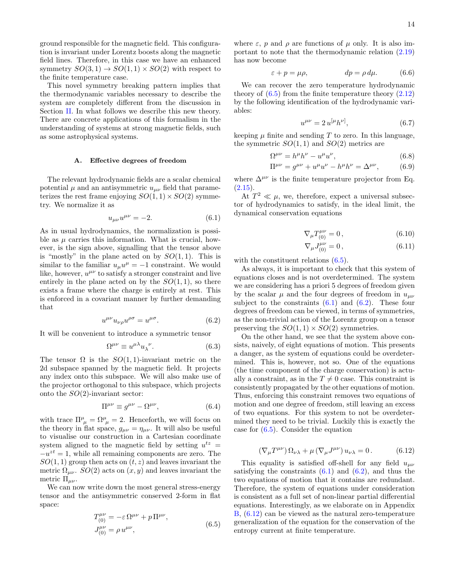ground responsible for the magnetic field. This configuration is invariant under Lorentz boosts along the magnetic field lines. Therefore, in this case we have an enhanced symmetry  $SO(3,1) \rightarrow SO(1,1) \times SO(2)$  with respect to the finite temperature case.

This novel symmetry breaking pattern implies that the thermodynamic variables necessary to describe the system are completely different from the discussion in Section [II.](#page-3-0) In what follows we describe this new theory. There are concrete applications of this formalism in the understanding of systems at strong magnetic fields, such as some astrophysical systems.

#### <span id="page-14-0"></span>A. Effective degrees of freedom

The relevant hydrodynamic fields are a scalar chemical potential  $\mu$  and an antisymmetric  $u_{\mu\nu}$  field that parameterizes the rest frame enjoying  $SO(1,1) \times SO(2)$  symmetry. We normalize it as

$$
u_{\mu\nu}u^{\mu\nu} = -2.\t\t(6.1)
$$

As in usual hydrodynamics, the normalization is possible as  $\mu$  carries this information. What is crucial, however, is the sign above, signalling that the tensor above is "mostly" in the plane acted on by  $SO(1,1)$ . This is similar to the familiar  $u_{\mu}u^{\mu} = -1$  constraint. We would like, however,  $u^{\mu\nu}$  to satisfy a stronger constraint and live entirely in the plane acted on by the  $SO(1,1)$ , so there exists a frame where the charge is entirely at rest. This is enforced in a covariant manner by further demanding that

$$
u^{\mu\nu}u_{\nu\rho}u^{\rho\sigma} = u^{\mu\sigma}.
$$
 (6.2)

It will be convenient to introduce a symmetric tensor

$$
\Omega^{\mu\nu} \equiv u^{\mu\lambda} u_{\lambda}{}^{\nu}.
$$
 (6.3)

The tensor  $\Omega$  is the  $SO(1,1)$ -invariant metric on the 2d subspace spanned by the magnetic field. It projects any index onto this subspace. We will also make use of the projector orthogonal to this subspace, which projects onto the  $SO(2)$ -invariant sector:

$$
\Pi^{\mu\nu} \equiv g^{\mu\nu} - \Omega^{\mu\nu},\tag{6.4}
$$

with trace  $\Pi^{\mu}_{\ \mu} = \Omega^{\mu}_{\ \mu} = 2$ . Henceforth, we will focus on the theory in flat space,  $g_{\mu\nu} = \eta_{\mu\nu}$ . It will also be useful to visualise our construction in a Cartesian coordinate system aligned to the magnetic field by setting  $u^{tz} =$  $-u^{zt} = 1$ , while all remaining components are zero. The  $SO(1, 1)$  group then acts on  $(t, z)$  and leaves invariant the metric  $\Omega_{\mu\nu}$ .  $SO(2)$  acts on  $(x, y)$  and leaves invariant the metric  $\Pi_{\mu\nu}$ .

We can now write down the most general stress-energy tensor and the antisymmetric conserved 2-form in flat space:

<span id="page-14-1"></span>
$$
T_{(0)}^{\mu\nu} = -\varepsilon \,\Omega^{\mu\nu} + p \,\Pi^{\mu\nu}, J_{(0)}^{\mu\nu} = \rho \, u^{\mu\nu},
$$
\n(6.5)

where  $\varepsilon$ , p and  $\rho$  are functions of  $\mu$  only. It is also important to note that the thermodynamic relation [\(2.19\)](#page-5-1) has now become

$$
\varepsilon + p = \mu \rho, \qquad dp = \rho \, d\mu. \tag{6.6}
$$

We can recover the zero temperature hydrodynamic theory of  $(6.5)$  from the finite temperature theory  $(2.12)$ by the following identification of the hydrodynamic variables:

<span id="page-14-5"></span>
$$
u^{\mu\nu} = 2 u^{[\mu} h^{\nu]}, \tag{6.7}
$$

keeping  $\mu$  finite and sending T to zero. In this language, the symmetric  $SO(1,1)$  and  $SO(2)$  metrics are

$$
\Omega^{\mu\nu} = h^{\mu}h^{\nu} - u^{\mu}u^{\nu},\tag{6.8}
$$

$$
\Pi^{\mu\nu} = g^{\mu\nu} + u^{\mu}u^{\nu} - h^{\mu}h^{\nu} = \Delta^{\mu\nu}, \tag{6.9}
$$

where  $\Delta^{\mu\nu}$  is the finite temperature projector from Eq.  $(2.15).$  $(2.15).$ 

<span id="page-14-2"></span>At  $T^2 \ll \mu$ , we, therefore, expect a universal subsector of hydrodynamics to satisfy, in the ideal limit, the dynamical conservation equations

$$
\nabla_{\mu}T_{(0)}^{\mu\nu} = 0, \qquad (6.10)
$$

$$
\nabla_{\mu}J_{(0)}^{\mu\nu} = 0, \qquad (6.11)
$$

with the constituent relations  $(6.5)$ .

As always, it is important to check that this system of equations closes and is not overdetermined. The system we are considering has a priori 5 degrees of freedom given by the scalar  $\mu$  and the four degrees of freedom in  $u_{\mu\nu}$ subject to the constraints  $(6.1)$  and  $(6.2)$ . These four degrees of freedom can be viewed, in terms of symmetries, as the non-trivial action of the Lorentz group on a tensor preserving the  $SO(1,1) \times SO(2)$  symmetries.

<span id="page-14-3"></span>On the other hand, we see that the system above consists, naively, of eight equations of motion. This presents a danger, as the system of equations could be overdetermined. This is, however, not so. One of the equations (the time component of the charge conservation) is actually a constraint, as in the  $T \neq 0$  case. This constraint is consistently propagated by the other equations of motion. Thus, enforcing this constraint removes two equations of motion and one degree of freedom, still leaving an excess of two equations. For this system to not be overdetermined they need to be trivial. Luckily this is exactly the case for  $(6.5)$ . Consider the equation

<span id="page-14-4"></span>
$$
\left(\nabla_{\mu}T^{\mu\nu}\right)\Omega_{\nu\lambda} + \mu\left(\nabla_{\mu}J^{\mu\nu}\right)u_{\nu\lambda} = 0. \tag{6.12}
$$

This equality is satisfied off-shell for any field  $u_{\mu\nu}$ satisfying the constraints  $(6.1)$  and  $(6.2)$ , and thus the two equations of motion that it contains are redundant. Therefore, the system of equations under consideration is consistent as a full set of non-linear partial differential equations. Interestingly, as we elaborate on in Appendix [B,](#page-19-0) [\(6.12\)](#page-14-4) can be viewed as the natural zero-temperature generalization of the equation for the conservation of the entropy current at finite temperature.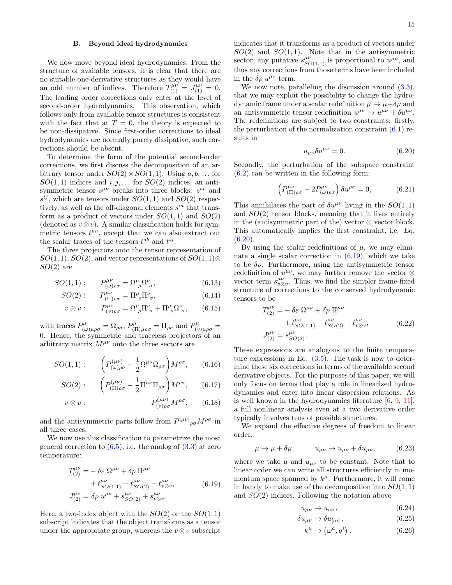#### <span id="page-15-0"></span>B. Beyond ideal hydrodynamics

We now move beyond ideal hydrodynamics. From the structure of available tensors, it is clear that there are no suitable one-derivative structures as they would have an odd number of indices. Therefore  $T_{(1)}^{\mu\nu} = J_{(1)}^{\mu\nu} = 0$ . The leading order corrections only enter at the level of second-order hydrodynamics. This observation, which follows only from available tensor structures is consistent with the fact that at  $T = 0$ , the theory is expected to be non-dissipative. Since first-order corrections to ideal hydrodynamics are normally purely dissipative, such corrections should be absent.

To determine the form of the potential second-order corrections, we first discuss the decomposition of an arbitrary tensor under  $SO(2) \times SO(1, 1)$ . Using  $a, b, \ldots$  for  $SO(1,1)$  indices and  $i, j, \ldots$  for  $SO(2)$  indices, an antisymmetric tensor  $s^{\mu\nu}$  breaks into three blocks:  $s^{ab}$  and  $s^{ij}$ , which are tensors under  $SO(1,1)$  and  $SO(2)$  respectively, as well as the off-diagonal elements  $s^{ia}$  that transform as a product of vectors under  $SO(1,1)$  and  $SO(2)$ (denoted as  $v \otimes v$ ). A similar classification holds for symmetric tensors  $t^{\mu\nu}$ , except that we can also extract out the scalar traces of the tensors  $t^{ab}$  and  $t^{ij}$ .

The three projectors onto the tensor representation of  $SO(1,1), SO(2)$ , and vector representations of  $SO(1,1)$ ⊗  $SO(2)$  are

$$
SO(1,1): \qquad P^{\mu\nu}_{(\omega)\rho\sigma} = \Omega^{\mu}_{\ \rho} \Omega^{\nu}_{\ \sigma}, \tag{6.13}
$$

$$
SO(2): \qquad P_{(\Pi)\rho\sigma}^{\mu\nu} = \Pi^{\mu}_{\ \rho} \Pi^{\nu}_{\ \sigma}, \tag{6.14}
$$

$$
v \otimes v: \qquad P^{\mu\nu}_{(v)\rho\sigma} = \Omega^{\mu}_{\ \rho} \Pi^{\nu}_{\ \sigma} + \Pi^{\mu}_{\ \rho} \Omega^{\nu}_{\ \sigma}, \qquad (6.15)
$$

with traces  $P^{\mu}_{(q)}$  $(\omega)\mu_{\rho\sigma} = \Omega_{\rho\sigma}, P^{\mu}_{(I)}$  $\lim_{\mu \to 0}$  =  $\Pi_{\rho\sigma}$  and  $P^{\mu}_{(v)\mu\rho\sigma}$  = 0. Hence, the symmetric and traceless projectors of an arbitrary matrix  $M^{\mu\nu}$  onto the three sectors are

$$
SO(1,1): \qquad \left(P_{(\omega)\rho\sigma}^{(\mu\nu)} - \frac{1}{2}\Omega^{\mu\nu}\Omega_{\rho\sigma}\right)M^{\rho\sigma},\qquad(6.16)
$$

$$
SO(2): \qquad \left(P_{(\Pi)\rho\sigma}^{(\mu\nu)} - \frac{1}{2}\Pi^{\mu\nu}\Pi_{\rho\sigma}\right)M^{\rho\sigma}, \qquad (6.17)
$$

$$
v \otimes v: \qquad \qquad P_{(v)\rho\sigma}^{(\mu\nu)} M^{\rho\sigma}, \qquad (6.18)
$$

and the antisymmetric parts follow from  $P^{[\mu\nu]}_{\rho\sigma}M^{\rho\sigma}$  in all three cases.

We now use this classification to parametrize the most general correction to  $(6.5)$ , i.e. the analog of  $(3.3)$  at zero temperature:

<span id="page-15-2"></span>
$$
T_{(2)}^{\mu\nu} = -\delta \varepsilon \ \Omega^{\mu\nu} + \delta p \ \Pi^{\mu\nu} + t_{SO(1,1)}^{\mu\nu} + t_{SO(2)}^{\mu\nu} + t_{\nu\otimes v}^{\mu\nu},
$$
 (6.19)  

$$
J_{(2)}^{\mu\nu} = \delta \rho \ u^{\mu\nu} + s_{SO(2)}^{\mu\nu} + s_{\nu\otimes v}^{\mu\nu}.
$$

Here, a two-index object with the  $SO(2)$  or the  $SO(1,1)$ subscript indicates that the object transforms as a tensor under the appropriate group, whereas the  $v \otimes v$  subscript

indicates that it transforms as a product of vectors under  $SO(2)$  and  $SO(1,1)$ . Note that in the antisymmetric sector, any putative  $s^{\mu\nu}_{SO(1,1)}$  is proportional to  $u^{\mu\nu}$ , and thus any corrections from those terms have been included in the  $\delta \rho u^{\mu\nu}$  term.

We now note, paralleling the discussion around  $(3.3)$ , that we may exploit the possibility to change the hydrodynamic frame under a scalar redefinition  $\mu \to \mu + \delta \mu$  and an antisymmetric tensor redefinition  $u^{\mu\nu} \to u^{\mu\nu} + \delta u^{\mu\nu}$ . The redefinitions are subject to two constraints: firstly, the perturbation of the normalization constraint  $(6.1)$  results in

<span id="page-15-1"></span>
$$
u_{\mu\nu}\delta u^{\mu\nu} = 0.\t\t(6.20)
$$

Secondly, the perturbation of the subspace constraint [\(6.2\)](#page-14-3) can be written in the following form:

$$
\left(P^{\mu\nu}_{(\Pi)\rho\sigma} - 2P^{\mu\nu}_{(\omega)\rho\sigma}\right)\delta u^{\rho\sigma} = 0, \tag{6.21}
$$

This annihilates the part of  $\delta u^{\mu\nu}$  living in the  $SO(1,1)$ and  $SO(2)$  tensor blocks, meaning that it lives entirely in the (antisymmetric part of the) vector  $\otimes$  vector block. This automatically implies the first constraint, i.e. Eq.  $(6.20).$  $(6.20).$ 

By using the scalar redefinitions of  $\mu$ , we may eliminate a single scalar correction in  $(6.19)$ , which we take to be  $\delta \rho$ . Furthermore, using the antisymmetric tensor redefinition of  $u^{\mu\nu}$ , we may further remove the vector ⊗ vector term  $s^{\mu\nu}_{v\otimes v}$ . Thus, we find the simpler frame-fixed structure of corrections to the conserved hydrodynamic tensors to be

$$
T_{(2)}^{\mu\nu} = -\delta \varepsilon \ \Omega^{\mu\nu} + \delta p \ \Pi^{\mu\nu} + t_{SO(1,1)}^{\mu\nu} + t_{SO(2)}^{\mu\nu} + t_{SO(2)}^{\mu\nu} + t_{\nu\otimes v}^{\mu\nu},
$$
 (6.22)  

$$
J_{(2)}^{\mu\nu} = s_{SO(2)}^{\mu\nu}.
$$

These expressions are analogous to the finite temperature expressions in Eq.  $(3.5)$ . The task is now to determine these six corrections in terms of the available second derivative objects. For the purposes of this paper, we will only focus on terms that play a role in linearized hydrodynamics and enter into linear dispersion relations. As is well known in the hydrodynamics literature  $[6, 9, 11]$  $[6, 9, 11]$  $[6, 9, 11]$  $[6, 9, 11]$ , a full nonlinear analysis even at a two derivative order typically involves tens of possible structures.

We expand the effective degrees of freedom to linear order,

$$
\mu \to \mu + \delta \mu, \qquad u_{\mu\nu} \to u_{\mu\nu} + \delta u_{\mu\nu}, \qquad (6.23)
$$

where we take  $\mu$  and  $u_{\mu\nu}$  to be constant. Note that to linear order we can write all structures efficiently in momentum space spanned by  $k^{\mu}$ . Furthermore, it will come in handy to make use of the decomposition into  $SO(1,1)$ and SO(2) indices. Following the notation above

<span id="page-15-3"></span>
$$
u_{\mu\nu} \to u_{ab} \,, \tag{6.24}
$$

$$
\delta u_{\mu\nu} \to \delta u_{[ai]} \,, \tag{6.25}
$$

$$
k^{\mu} \to (\omega^a, q^i). \tag{6.26}
$$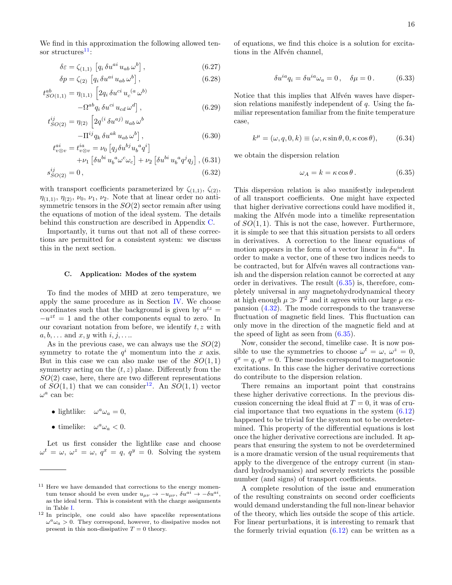We find in this approximation the following allowed tensor structures $^{11}$  $^{11}$  $^{11}$ :

<span id="page-16-4"></span>
$$
\delta \varepsilon = \zeta_{(1,1)} \left[ q_i \, \delta u^{ai} \, u_{ab} \, \omega^b \right],\tag{6.27}
$$

$$
\delta p = \zeta_{(2)} \left[ q_i \, \delta u^{ai} \, u_{ab} \, \omega^b \right],\tag{6.28}
$$

$$
t_{SO(1,1)}^{ab} = \eta_{(1,1)} \left[ 2q_i \, \delta u^{ci} \, u_c^{(a} \, \omega^{b)} -\Omega^{ab} q_i \, \delta u^{ci} \, u_{cd} \, \omega^d \right],\tag{6.29}
$$

$$
t_{SO(2)}^{ij} = \eta_{(2)} \left[ 2q^{(i} \delta u^{aj)} u_{ab} \omega^{b} - \Pi^{ij} q_k \delta u^{ak} u_{ab} \omega^{b} \right],
$$
\n(6.30)

$$
t_{v\otimes v}^{ai} = t_{v\otimes v}^{ia} = \nu_0 \left[ q_j \delta u^{bj} u_b^a q^i \right] + \nu_1 \left[ \delta u^{bi} u_b^a \omega^c \omega_c \right] + \nu_2 \left[ \delta u^{bi} u_b^a q^j q_j \right],
$$
 (6.31)

$$
s_{SO(2)}^{ij} = 0, \t\t(6.32)
$$

with transport coefficients parameterized by  $\zeta_{(1,1)}, \zeta_{(2)}$ ,  $\eta_{(1,1)}, \eta_{(2)}, \nu_0, \nu_1, \nu_2$ . Note that at linear order no antisymmetric tensors in the  $SO(2)$  sector remain after using the equations of motion of the ideal system. The details behind this construction are described in Appendix [C.](#page-20-0)

Importantly, it turns out that not all of these corrections are permitted for a consistent system: we discuss this in the next section.

#### <span id="page-16-0"></span>C. Application: Modes of the system

To find the modes of MHD at zero temperature, we apply the same procedure as in Section [IV.](#page-9-0) We choose coordinates such that the background is given by  $u^{tz} =$  $-u^{zt} = 1$  and the other components equal to zero. In our covariant notation from before, we identify  $t, z$  with  $a, b, \ldots$  and  $x, y$  with  $i, j, \ldots$ 

As in the previous case, we can always use the  $SO(2)$ symmetry to rotate the  $q<sup>i</sup>$  momentum into the x axis. But in this case we can also make use of the  $SO(1,1)$ symmetry acting on the  $(t, z)$  plane. Differently from the  $SO(2)$  case, here, there are two different representations of  $SO(1,1)$  that we can consider<sup>[12](#page-16-2)</sup>. An  $SO(1,1)$  vector  $\omega^a$  can be:

- lightlike:  $\omega^a \omega_a = 0$ ,
- timelike:  $\omega^a \omega_a < 0$ .

Let us first consider the lightlike case and choose  $\omega^t = \omega, \ \omega^z = \omega, \ q^x = q, \ q^y = 0.$  Solving the system

of equations, we find this choice is a solution for excitations in the Alfvén channel,

$$
\delta u^{ia} q_i = \delta u^{ia} \omega_a = 0 \,, \quad \delta \mu = 0 \,. \tag{6.33}
$$

Notice that this implies that Alfvén waves have dispersion relations manifestly independent of  $q$ . Using the familiar representation familiar from the finite temperature case,

$$
k^{\mu} = (\omega, q, 0, k) \equiv (\omega, \kappa \sin \theta, 0, \kappa \cos \theta), \quad (6.34)
$$

we obtain the dispersion relation

<span id="page-16-3"></span>
$$
\omega_A = k = \kappa \cos \theta. \tag{6.35}
$$

This dispersion relation is also manifestly independent of all transport coefficients. One might have expected that higher derivative corrections could have modified it, making the Alfvén mode into a timelike representation of  $SO(1,1)$ . This is not the case, however. Furthermore, it is simple to see that this situation persists to all orders in derivatives. A correction to the linear equations of motion appears in the form of a vector linear in  $\delta u^{ia}$ . In order to make a vector, one of these two indices needs to be contracted, but for Alfvén waves all contractions vanish and the dispersion relation cannot be corrected at any order in derivatives. The result  $(6.35)$  is, therefore, completely universal in any magnetohydrodynamical theory at high enough  $\mu \gg T^2$  and it agrees with our large  $\mu$  expansion [\(4.32\)](#page-12-3). The mode corresponds to the transverse fluctuation of magnetic field lines. This fluctuation can only move in the direction of the magnetic field and at the speed of light as seen from  $(6.35)$ .

Now, consider the second, timelike case. It is now possible to use the symmetries to choose  $\omega^t = \omega, \ \omega^z = 0$ ,  $q^x = q, q^y = 0$ . These modes correspond to magnetosonic excitations. In this case the higher derivative corrections do contribute to the dispersion relation.

There remains an important point that constrains these higher derivative corrections. In the previous discussion concerning the ideal fluid at  $T = 0$ , it was of crucial importance that two equations in the system [\(6.12\)](#page-14-4) happened to be trivial for the system not to be overdetermined. This property of the differential equations is lost once the higher derivative corrections are included. It appears that ensuring the system to not be overdetermined is a more dramatic version of the usual requirements that apply to the divergence of the entropy current (in standard hydrodynamics) and severely restricts the possible number (and signs) of transport coefficients.

A complete resolution of the issue and enumeration of the resulting constraints on second order coefficients would demand understanding the full non-linear behavior of the theory, which lies outside the scope of this article. For linear perturbations, it is interesting to remark that the formerly trivial equation  $(6.12)$  can be written as a

<span id="page-16-1"></span><sup>&</sup>lt;sup>11</sup> Here we have demanded that corrections to the energy momentum tensor should be even under  $u_{\mu\nu} \to -u_{\mu\nu}$ ,  $\delta u^{ai} \to -\delta u^{ai}$ , as the ideal term. This is consistent with the charge assignments in Table [I.](#page-5-0)

<span id="page-16-2"></span><sup>12</sup> In principle, one could also have spacelike representations  $\omega^a \omega_a > 0$ . They correspond, however, to dissipative modes not present in this non-dissipative  $T = 0$  theory.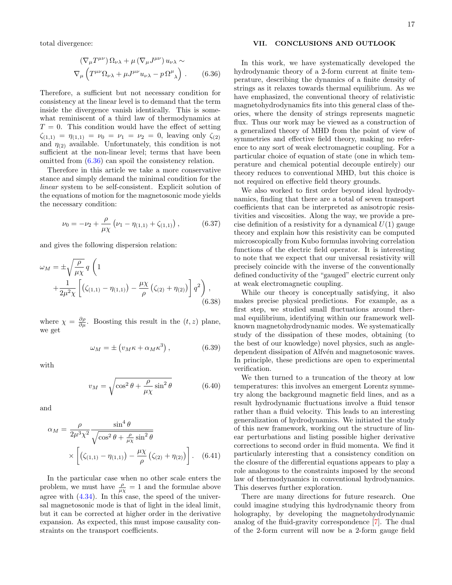total divergence:

<span id="page-17-1"></span>
$$
\left(\nabla_{\mu}T^{\mu\nu}\right)\Omega_{\nu\lambda} + \mu\left(\nabla_{\mu}J^{\mu\nu}\right)u_{\nu\lambda} \sim
$$
  

$$
\nabla_{\mu}\left(T^{\mu\nu}\Omega_{\nu\lambda} + \mu J^{\mu\nu}u_{\nu\lambda} - p\Omega^{\mu}_{\ \lambda}\right). \tag{6.36}
$$

Therefore, a sufficient but not necessary condition for consistency at the linear level is to demand that the term inside the divergence vanish identically. This is somewhat reminiscent of a third law of thermodynamics at  $T = 0$ . This condition would have the effect of setting  $\zeta_{(1,1)} = \eta_{(1,1)} = \nu_0 = \nu_1 = \nu_2 = 0$ , leaving only  $\zeta_{(2)}$ and  $\eta_{(2)}$  available. Unfortunately, this condition is not sufficient at the non-linear level; terms that have been omitted from [\(6.36\)](#page-17-1) can spoil the consistency relation.

Therefore in this article we take a more conservative stance and simply demand the minimal condition for the linear system to be self-consistent. Explicit solution of the equations of motion for the magnetosonic mode yields the necessary condition:

$$
\nu_0 = -\nu_2 + \frac{\rho}{\mu \chi} \left( \nu_1 - \eta_{(1,1)} + \zeta_{(1,1)} \right), \tag{6.37}
$$

and gives the following dispersion relation:

$$
\omega_M = \pm \sqrt{\frac{\rho}{\mu \chi}} q \left( 1 + \frac{1}{2\mu^2 \chi} \left[ \left( \zeta_{(1,1)} - \eta_{(1,1)} \right) - \frac{\mu \chi}{\rho} \left( \zeta_{(2)} + \eta_{(2)} \right) \right] q^2 \right),
$$
\n(6.38)

where  $\chi = \frac{\partial \rho}{\partial \mu}$ . Boosting this result in the  $(t, z)$  plane, we get

$$
\omega_M = \pm \left( v_M \kappa + \alpha_M \kappa^3 \right), \tag{6.39}
$$

with

$$
v_M = \sqrt{\cos^2 \theta + \frac{\rho}{\mu \chi} \sin^2 \theta} \tag{6.40}
$$

and

$$
\alpha_M = \frac{\rho}{2\mu^3 \chi^2} \frac{\sin^4 \theta}{\sqrt{\cos^2 \theta + \frac{\rho}{\mu \chi} \sin^2 \theta}} \times \left[ (\zeta_{(1,1)} - \eta_{(1,1)}) - \frac{\mu \chi}{\rho} (\zeta_{(2)} + \eta_{(2)}) \right].
$$
 (6.41)

In the particular case when no other scale enters the problem, we must have  $\frac{\rho}{\mu \chi} = 1$  and the formulae above agree with  $(4.34)$ . In this case, the speed of the universal magnetosonic mode is that of light in the ideal limit, but it can be corrected at higher order in the derivative expansion. As expected, this must impose causality constraints on the transport coefficients.

#### <span id="page-17-0"></span>VII. CONCLUSIONS AND OUTLOOK

In this work, we have systematically developed the hydrodynamic theory of a 2-form current at finite temperature, describing the dynamics of a finite density of strings as it relaxes towards thermal equilibrium. As we have emphasized, the conventional theory of relativistic magnetohydrodynamics fits into this general class of theories, where the density of strings represents magnetic flux. Thus our work may be viewed as a construction of a generalized theory of MHD from the point of view of symmetries and effective field theory, making no reference to any sort of weak electromagnetic coupling. For a particular choice of equation of state (one in which temperature and chemical potential decouple entirely) our theory reduces to conventional MHD, but this choice is not required on effective field theory grounds.

We also worked to first order beyond ideal hydrodynamics, finding that there are a total of seven transport coefficients that can be interpreted as anisotropic resistivities and viscosities. Along the way, we provide a precise definition of a resistivity for a dynamical  $U(1)$  gauge theory and explain how this resistivity can be computed microscopically from Kubo formulas involving correlation functions of the electric field operator. It is interesting to note that we expect that our universal resistivity will precisely coincide with the inverse of the conventionally defined conductivity of the "gauged" electric current only at weak electromagnetic coupling.

While our theory is conceptually satisfying, it also makes precise physical predictions. For example, as a first step, we studied small fluctuations around thermal equilibrium, identifying within our framework wellknown magnetohydrodynamic modes. We systematically study of the dissipation of these modes, obtaining (to the best of our knowledge) novel physics, such as angledependent dissipation of Alfvén and magnetosonic waves. In principle, these predictions are open to experimental verification.

We then turned to a truncation of the theory at low temperatures: this involves an emergent Lorentz symmetry along the background magnetic field lines, and as a result hydrodynamic fluctuations involve a fluid tensor rather than a fluid velocity. This leads to an interesting generalization of hydrodynamics. We initiated the study of this new framework, working out the structure of linear perturbations and listing possible higher derivative corrections to second order in fluid momenta. We find it particularly interesting that a consistency condition on the closure of the differential equations appears to play a role analogous to the constraints imposed by the second law of thermodynamics in conventional hydrodynamics. This deserves further exploration.

There are many directions for future research. One could imagine studying this hydrodynamic theory from holography, by developing the magnetohydrodynamic analog of the fluid-gravity correspondence [\[7\]](#page-21-29). The dual of the 2-form current will now be a 2-form gauge field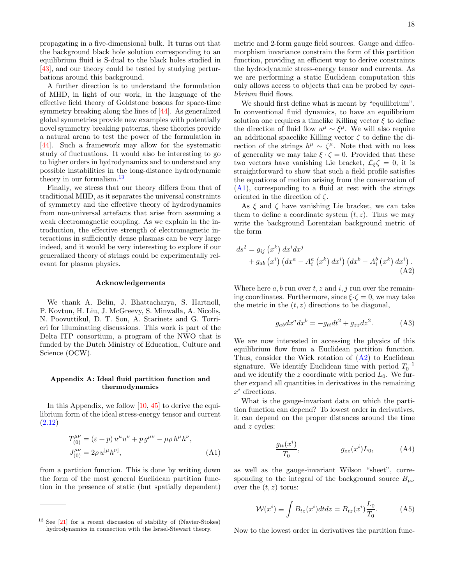propagating in a five-dimensional bulk. It turns out that the background black hole solution corresponding to an equilibrium fluid is S-dual to the black holes studied in [\[43\]](#page-22-3), and our theory could be tested by studying perturbations around this background.

A further direction is to understand the formulation of MHD, in light of our work, in the language of the effective field theory of Goldstone bosons for space-time symmetry breaking along the lines of [\[44\]](#page-22-4). As generalized global symmetries provide new examples with potentially novel symmetry breaking patterns, these theories provide a natural arena to test the power of the formulation in [\[44\]](#page-22-4). Such a framework may allow for the systematic study of fluctuations. It would also be interesting to go to higher orders in hydrodynamics and to understand any possible instabilities in the long-distance hydrodynamic theory in our formalism.<sup>[13](#page-18-1)</sup>

Finally, we stress that our theory differs from that of traditional MHD, as it separates the universal constraints of symmetry and the effective theory of hydrodynamics from non-universal artefacts that arise from assuming a weak electromagnetic coupling. As we explain in the introduction, the effective strength of electromagnetic interactions in sufficiently dense plasmas can be very large indeed, and it would be very interesting to explore if our generalized theory of strings could be experimentally relevant for plasma physics.

#### Acknowledgements

We thank A. Belin, J. Bhattacharya, S. Hartnoll, P. Kovtun, H. Liu, J. McGreevy, S. Minwalla, A. Nicolis, N. Poovuttikul, D. T. Son, A. Starinets and G. Torrieri for illuminating discussions. This work is part of the Delta ITP consortium, a program of the NWO that is funded by the Dutch Ministry of Education, Culture and Science (OCW).

#### <span id="page-18-0"></span>Appendix A: Ideal fluid partition function and thermodynamics

In this Appendix, we follow [\[10,](#page-21-30) [45\]](#page-22-5) to derive the equilibrium form of the ideal stress-energy tensor and current [\(2.12\)](#page-4-4)

$$
T_{(0)}^{\mu\nu} = (\varepsilon + p) u^{\mu} u^{\nu} + p g^{\mu\nu} - \mu \rho h^{\mu} h^{\nu},
$$
  
\n
$$
J_{(0)}^{\mu\nu} = 2 \rho u^{[\mu} h^{\nu]},
$$
\n(A1)

from a partition function. This is done by writing down the form of the most general Euclidean partition function in the presence of static (but spatially dependent)

metric and 2-form gauge field sources. Gauge and diffeomorphism invariance constrain the form of this partition function, providing an efficient way to derive constraints the hydrodynamic stress-energy tensor and currents. As we are performing a static Euclidean computation this only allows access to objects that can be probed by equilibrium fluid flows.

We should first define what is meant by "equilibrium". In conventional fluid dynamics, to have an equilibrium solution one requires a timelike Killing vector  $\xi$  to define the direction of fluid flow  $u^{\mu} \sim \xi^{\mu}$ . We will also require an additional spacelike Killing vector  $\zeta$  to define the direction of the strings  $h^{\mu} \sim \zeta^{\mu}$ . Note that with no loss of generality we may take  $\xi \cdot \zeta = 0$ . Provided that these two vectors have vanishing Lie bracket,  $\mathcal{L}_{\xi}\zeta = 0$ , it is straightforward to show that such a field profile satisfies the equations of motion arising from the conservation of [\(A1\)](#page-18-2), corresponding to a fluid at rest with the strings oriented in the direction of  $\zeta$ .

As  $\xi$  and  $\zeta$  have vanishing Lie bracket, we can take them to define a coordinate system  $(t, z)$ . Thus we may write the background Lorentzian background metric of the form

$$
ds^{2} = g_{ij} (x^{k}) dx^{i} dx^{j}
$$
  
+  $g_{ab} (x^{i}) (dx^{a} - A_{i}^{a} (x^{k}) dx^{i}) (dx^{b} - A_{i}^{b} (x^{k}) dx^{i}).$   
(A2)

Where here  $a, b$  run over  $t, z$  and  $i, j$  run over the remaining coordinates. Furthermore, since  $\xi \cdot \zeta = 0$ , we may take the metric in the  $(t, z)$  directions to be diagonal,

<span id="page-18-3"></span>
$$
g_{ab}dx^a dx^b = -g_{tt}dt^2 + g_{zz}dz^2.
$$
 (A3)

We are now interested in accessing the physics of this equilibrium flow from a Euclidean partition function. Thus, consider the Wick rotation of  $(A2)$  to Euclidean signature. We identify Euclidean time with period  $T_0^{-1}$ and we identify the z coordinate with period  $L_0$ . We further expand all quantities in derivatives in the remaining  $x^i$  directions.

What is the gauge-invariant data on which the partition function can depend? To lowest order in derivatives, it can depend on the proper distances around the time and z cycles:

$$
\frac{g_{tt}(x^i)}{T_0}, \qquad g_{zz}(x^i)L_0, \qquad (A4)
$$

<span id="page-18-2"></span>as well as the gauge-invariant Wilson "sheet", corresponding to the integral of the background source  $B_{\mu\nu}$ over the  $(t, z)$  torus:

$$
\mathcal{W}(x^i) \equiv \int B_{tz}(x^i) dt dz = B_{tz}(x^i) \frac{L_0}{T_0}.
$$
 (A5)

Now to the lowest order in derivatives the partition func-

<span id="page-18-1"></span><sup>13</sup> See [\[21\]](#page-21-6) for a recent discussion of stability of (Navier-Stokes) hydrodynamics in connection with the Israel-Stewart theory.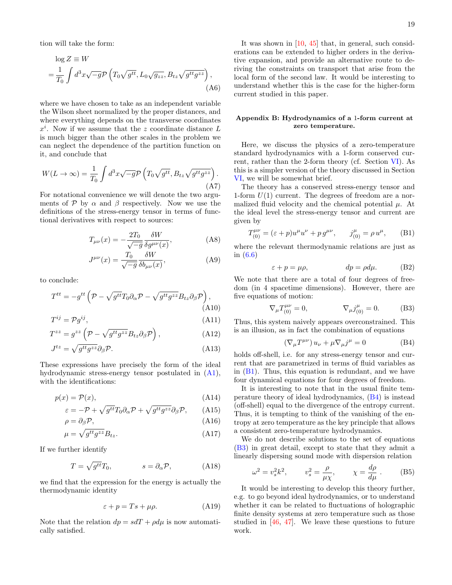tion will take the form:

$$
\log Z \equiv W
$$
  
=  $\frac{1}{T_0} \int d^3x \sqrt{-g} \mathcal{P} \left( T_0 \sqrt{g^{tt}}, L_0 \sqrt{g_{zz}}, B_{tz} \sqrt{g^{tt} g^{zz}} \right),$  (A6)

where we have chosen to take as an independent variable the Wilson sheet normalized by the proper distances, and where everything depends on the transverse coordinates  $x^i$ . Now if we assume that the z coordinate distance L is much bigger than the other scales in the problem we can neglect the dependence of the partition function on it, and conclude that

$$
W(L \to \infty) = \frac{1}{T_0} \int d^3x \sqrt{-g} \mathcal{P} \left( T_0 \sqrt{g^{tt}}, B_{tz} \sqrt{g^{tt} g^{zz}} \right).
$$
\n(A7)

For notational convenience we will denote the two arguments of P by  $\alpha$  and  $\beta$  respectively. Now we use the definitions of the stress-energy tensor in terms of functional derivatives with respect to sources:

$$
T_{\mu\nu}(x) = -\frac{2T_0}{\sqrt{-g}} \frac{\delta W}{\delta g^{\mu\nu}(x)},
$$
 (A8)

$$
J^{\mu\nu}(x) = \frac{T_0}{\sqrt{-g}} \frac{\delta W}{\delta b_{\mu\nu}(x)},
$$
 (A9)

to conclude:

$$
T^{tt} = -g^{tt} \left( \mathcal{P} - \sqrt{g^{tt}} T_0 \partial_\alpha \mathcal{P} - \sqrt{g^{tt} g^{zz}} B_{tz} \partial_\beta \mathcal{P} \right), \tag{A10}
$$

$$
T^{ij} = \mathcal{P}g^{ij},\tag{A11}
$$

$$
T^{zz} = g^{zz} \left( \mathcal{P} - \sqrt{g^{tt} g^{zz}} B_{tz} \partial_{\beta} \mathcal{P} \right), \tag{A12}
$$

$$
J^{tz} = \sqrt{g^{tt}g^{zz}} \partial_{\beta} \mathcal{P}.
$$
 (A13)

These expressions have precisely the form of the ideal hydrodynamic stress-energy tensor postulated in [\(A1\)](#page-18-2), with the identifications:

$$
p(x) = \mathcal{P}(x),\tag{A14}
$$

$$
\varepsilon = -\mathcal{P} + \sqrt{g^{tt}} T_0 \partial_\alpha \mathcal{P} + \sqrt{g^{tt} g^{zz}} \partial_\beta \mathcal{P}, \qquad (A15)
$$

$$
\rho = \partial_{\beta} \mathcal{P},\tag{A16}
$$

$$
\mu = \sqrt{g^{tt} g^{zz}} B_{tz}.\tag{A17}
$$

If we further identify

$$
T = \sqrt{g^{tt}} T_0, \qquad s = \partial_\alpha \mathcal{P}, \qquad (A18)
$$

we find that the expression for the energy is actually the thermodynamic identity

$$
\varepsilon + p = Ts + \mu \rho. \tag{A19}
$$

Note that the relation  $dp = sdT + \rho d\mu$  is now automatically satisfied.

It was shown in [\[10,](#page-21-30) [45\]](#page-22-5) that, in general, such considerations can be extended to higher orders in the derivative expansion, and provide an alternative route to deriving the constraints on transport that arise from the local form of the second law. It would be interesting to understand whether this is the case for the higher-form current studied in this paper.

#### <span id="page-19-0"></span>Appendix B: Hydrodynamics of a 1-form current at zero temperature.

Here, we discuss the physics of a zero-temperature standard hydrodynamics with a 1-form conserved current, rather than the 2-form theory (cf. Section [VI\)](#page-13-0). As this is a simpler version of the theory discussed in Section [VI,](#page-13-0) we will be somewhat brief.

The theory has a conserved stress-energy tensor and 1-form  $U(1)$  current. The degrees of freedom are a normalized fluid velocity and the chemical potential  $\mu$ . At the ideal level the stress-energy tensor and current are given by

$$
T_{(0)}^{\mu\nu} = (\varepsilon + p)u^{\mu}u^{\nu} + pg^{\mu\nu}, \qquad j_{(0)}^{\mu} = \rho u^{\mu}, \qquad \text{(B1)}
$$

where the relevant thermodynamic relations are just as in [\(6.6\)](#page-14-5)

<span id="page-19-1"></span>
$$
\varepsilon + p = \mu \rho, \qquad dp = \rho d\mu. \qquad (B2)
$$

We note that there are a total of four degrees of freedom (in 4 spacetime dimensions). However, there are five equations of motion:

$$
\nabla_{\mu}T_{(0)}^{\mu\nu} = 0, \qquad \nabla_{\mu}j_{(0)}^{\mu} = 0. \qquad (B3)
$$

Thus, this system naively appears overconstrained. This is an illusion, as in fact the combination of equations

<span id="page-19-3"></span><span id="page-19-2"></span>
$$
\left(\nabla_{\mu}T^{\mu\nu}\right)u_{\nu} + \mu\nabla_{\mu}j^{\mu} = 0
$$
\n(B4)

holds off-shell, i.e. for any stress-energy tensor and current that are parametrized in terms of fluid variables as in  $(B1)$ . Thus, this equation is redundant, and we have four dynamical equations for four degrees of freedom.

It is interesting to note that in the usual finite temperature theory of ideal hydrodynamics, [\(B4\)](#page-19-2) is instead (off-shell) equal to the divergence of the entropy current. Thus, it is tempting to think of the vanishing of the entropy at zero temperature as the key principle that allows a consistent zero-temperature hydrodynamics.

We do not describe solutions to the set of equations [\(B3\)](#page-19-3) in great detail, except to state that they admit a linearly dispersing sound mode with dispersion relation

$$
\omega^2 = v_s^2 k^2, \qquad v_s^2 = \frac{\rho}{\mu \chi}, \qquad \chi = \frac{d\rho}{d\mu} \ . \tag{B5}
$$

It would be interesting to develop this theory further, e.g. to go beyond ideal hydrodynamics, or to understand whether it can be related to fluctuations of holographic finite density systems at zero temperature such as those studied in [\[46,](#page-22-6) [47\]](#page-22-7). We leave these questions to future work.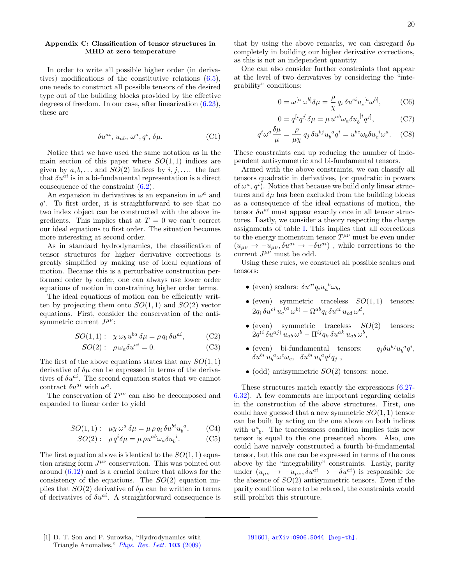### <span id="page-20-0"></span>Appendix C: Classification of tensor structures in MHD at zero temperature

In order to write all possible higher order (in derivatives) modifications of the constitutive relations [\(6.5\)](#page-14-1), one needs to construct all possible tensors of the desired type out of the building blocks provided by the effective degrees of freedom. In our case, after linearization [\(6.23\)](#page-15-3), these are

$$
\delta u^{ai}, \, u_{ab}, \, \omega^a, q^i, \, \delta \mu. \tag{C1}
$$

Notice that we have used the same notation as in the main section of this paper where  $SO(1,1)$  indices are given by  $a, b, \ldots$  and  $SO(2)$  indices by  $i, j, \ldots$  the fact that  $\delta u^{ai}$  is in a bi-fundamental representation is a direct consequence of the constraint [\(6.2\)](#page-14-3).

An expansion in derivatives is an expansion in  $\omega^a$  and  $q<sup>i</sup>$ . To first order, it is straightforward to see that no two index object can be constructed with the above ingredients. This implies that at  $T = 0$  we can't correct our ideal equations to first order. The situation becomes more interesting at second order.

As in standard hydrodynamics, the classification of tensor structures for higher derivative corrections is greatly simplified by making use of ideal equations of motion. Because this is a perturbative construction performed order by order, one can always use lower order equations of motion in constraining higher order terms.

The ideal equations of motion can be efficiently written by projecting them onto  $SO(1,1)$  and  $SO(2)$  vector equations. First, consider the conservation of the antisymmetric current  $J^{\mu\nu}$ :

$$
SO(1,1): \ \ \chi \omega_b \, u^{ba} \, \delta \mu = \rho \, q_i \, \delta u^{ai}, \tag{C2}
$$

$$
SO(2): \ \rho \omega_a \delta u^{ai} = 0. \tag{C3}
$$

The first of the above equations states that any  $SO(1,1)$ derivative of  $\delta\mu$  can be expressed in terms of the derivatives of  $\delta u^{ai}$ . The second equation states that we cannot contract  $\delta u^{ai}$  with  $\omega^a$ .

The conservation of  $T^{\mu\nu}$  can also be decomposed and expanded to linear order to yield

$$
SO(1,1): \ \mu \chi \omega^a \delta \mu = \mu \rho q_i \delta u^{bi} u_b^a, \qquad (C4)
$$

<span id="page-20-1"></span>
$$
SO(2): \ \rho q^i \delta \mu = \mu \rho u^{ab} \omega_a \delta u_b^i. \tag{C5}
$$

The first equation above is identical to the  $SO(1, 1)$  equation arising form  $J^{\mu\nu}$  conservation. This was pointed out around [\(6.12\)](#page-14-4) and is a crucial feature that allows for the consistency of the equations. The  $SO(2)$  equation implies that  $SO(2)$  derivative of  $\delta\mu$  can be written in terms of derivatives of  $\delta u^{ai}$ . A straightforward consequence is

that by using the above remarks, we can disregard  $\delta \mu$ completely in building our higher derivative corrections, as this is not an independent quantity.

One can also consider further constraints that appear at the level of two derivatives by considering the "integrability" conditions:

$$
0 = \omega^{[a} \,\omega^{b]} \delta \mu = \frac{\rho}{\chi} \, q_i \, \delta u^{ci} u_c^{[a} \omega^{b]},\tag{C6}
$$

$$
0 = q^{[i}q^{j]}\delta\mu = \mu u^{ab}\omega_a \delta u_b^{[i}q^{j]},\tag{C7}
$$

$$
q^i \omega^a \frac{\delta \mu}{\mu} = \frac{\rho}{\mu \chi} q_j \, \delta u^{bj} u_b^a q^i = u^{bc} \omega_b \delta u_c^i \omega^a. \quad \text{(C8)}
$$

These constraints end up reducing the number of independent antisymmetric and bi-fundamental tensors.

Armed with the above constraints, we can classify all tensors quadratic in derivatives, (or quadratic in powers of  $\omega^a$ ,  $q^i$ ). Notice that because we build only linear structures and  $\delta\mu$  has been excluded from the building blocks as a consequence of the ideal equations of motion, the tensor  $\delta u^{ai}$  must appear exactly once in all tensor structures. Lastly, we consider a theory respecting the charge assignments of table [I.](#page-5-0) This implies that all corrections to the energy momentum tensor  $T^{\mu\nu}$  must be even under  $(u_{\mu\nu} \rightarrow -u_{\mu\nu}, \delta u^{ai} \rightarrow -\delta u^{ai})$ , while corrections to the current  $J^{\mu\nu}$  must be odd.

Using these rules, we construct all possible scalars and tensors:

- (even) scalars:  $\delta u^{ai} q_i u_a^b \omega_b$ ,
- (even) symmetric traceless  $SO(1,1)$  tensors:  $2q_i \,\delta u^{ci} u_c^{(a} \omega^{b)} - \Omega^{ab} q_i \,\delta u^{ci} u_{cd} \omega^d,$
- $\bullet$  (even) symmetric traceless  $SO(2)$  tensors:  $2q^{(i}\,\delta u^{aj)}\,u_{ab}\,\omega^b - \Pi^{ij}q_k\,\delta u^{ak}\,u_{ab}\,\omega^b,$
- (even) bi-fundamental tensors:  $q_j \delta u^{bj} u$  $a_q^i,$  $\delta u^{bi} u_b^a \omega^c \omega_c$ ,  $\delta u^{bi} u_b^a q^j q_j$ ,
- (odd) antisymmetric  $SO(2)$  tensors: none.

These structures match exactly the expressions [\(6.27-](#page-16-4) [6.32\)](#page-16-4). A few comments are important regarding details in the construction of the above structures. First, one could have guessed that a new symmetric  $SO(1, 1)$  tensor can be built by acting on the one above on both indices with  $u^a_{\ b}$ . The tracelessness condition implies this new tensor is equal to the one presented above. Also, one could have naively constructed a fourth bi-fundamental tensor, but this one can be expressed in terms of the ones above by the "integrability" constraints. Lastly, parity under  $(u_{\mu\nu} \rightarrow -u_{\mu\nu}, \delta u^{ai} \rightarrow -\delta u^{ai})$  is responsible for the absence of  $SO(2)$  antisymmetric tensors. Even if the parity condition were to be relaxed, the constraints would still prohibit this structure.

<span id="page-20-2"></span>[1] D. T. Son and P. Surowka, "Hydrodynamics with Triangle Anomalies," [Phys. Rev. Lett.](http://dx.doi.org/10.1103/PhysRevLett.103.191601) 103 (2009)

[<sup>191601,</sup>](http://dx.doi.org/10.1103/PhysRevLett.103.191601) [arXiv:0906.5044 \[hep-th\]](http://arxiv.org/abs/0906.5044).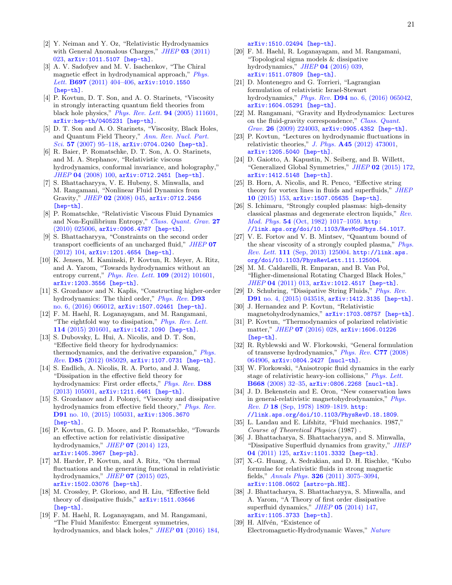- <span id="page-21-26"></span>[2] Y. Neiman and Y. Oz, "Relativistic Hydrodynamics with General Anomalous Charges,"  $JHEP$  03 [\(2011\)](http://dx.doi.org/10.1007/JHEP03(2011)023) [023,](http://dx.doi.org/10.1007/JHEP03(2011)023) [arXiv:1011.5107 \[hep-th\]](http://arxiv.org/abs/1011.5107).
- <span id="page-21-0"></span>[3] A. V. Sadofyev and M. V. Isachenkov, "The Chiral magnetic effect in hydrodynamical approach," [Phys.](http://dx.doi.org/10.1016/j.physletb.2011.02.041) Lett. B697 (2011) 404-406, [arXiv:1010.1550](http://arxiv.org/abs/1010.1550) [\[hep-th\]](http://arxiv.org/abs/1010.1550).
- <span id="page-21-1"></span>[4] P. Kovtun, D. T. Son, and A. O. Starinets, "Viscosity" in strongly interacting quantum field theories from black hole physics," [Phys. Rev. Lett.](http://dx.doi.org/10.1103/PhysRevLett.94.111601) 94 (2005) 111601, [arXiv:hep-th/0405231 \[hep-th\]](http://arxiv.org/abs/hep-th/0405231).
- <span id="page-21-2"></span>[5] D. T. Son and A. O. Starinets, "Viscosity, Black Holes, and Quantum Field Theory," [Ann. Rev. Nucl. Part.](http://dx.doi.org/10.1146/annurev.nucl.57.090506.123120) Sci. 57 (2007) 95-118,  $arXiv:0704.0240$  [hep-th].
- <span id="page-21-3"></span>[6] R. Baier, P. Romatschke, D. T. Son, A. O. Starinets, and M. A. Stephanov, "Relativistic viscous hydrodynamics, conformal invariance, and holography," JHEP 04 [\(2008\) 100,](http://dx.doi.org/10.1088/1126-6708/2008/04/100) [arXiv:0712.2451 \[hep-th\]](http://arxiv.org/abs/0712.2451).
- <span id="page-21-29"></span>[7] S. Bhattacharyya, V. E. Hubeny, S. Minwalla, and M. Rangamani, "Nonlinear Fluid Dynamics from Gravity," JHEP 02 [\(2008\) 045,](http://dx.doi.org/10.1088/1126-6708/2008/02/045) [arXiv:0712.2456](http://arxiv.org/abs/0712.2456) [\[hep-th\]](http://arxiv.org/abs/0712.2456).
- <span id="page-21-13"></span>[8] P. Romatschke, "Relativistic Viscous Fluid Dynamics and Non-Equilibrium Entropy," [Class. Quant. Grav.](http://dx.doi.org/10.1088/0264-9381/27/2/025006) 27 [\(2010\) 025006,](http://dx.doi.org/10.1088/0264-9381/27/2/025006) [arXiv:0906.4787 \[hep-th\]](http://arxiv.org/abs/0906.4787).
- <span id="page-21-14"></span>[9] S. Bhattacharyya, "Constraints on the second order transport coefficients of an uncharged fluid," [JHEP](http://dx.doi.org/10.1007/JHEP07(2012)104) 07 [\(2012\) 104,](http://dx.doi.org/10.1007/JHEP07(2012)104) [arXiv:1201.4654 \[hep-th\]](http://arxiv.org/abs/1201.4654).
- <span id="page-21-30"></span>[10] K. Jensen, M. Kaminski, P. Kovtun, R. Meyer, A. Ritz, and A. Yarom, "Towards hydrodynamics without an entropy current," *[Phys. Rev. Lett.](http://dx.doi.org/10.1103/PhysRevLett.109.101601)* **109** (2012) 101601, [arXiv:1203.3556 \[hep-th\]](http://arxiv.org/abs/1203.3556).
- <span id="page-21-15"></span>[11] S. Grozdanov and N. Kaplis, "Constructing higher-order hydrodynamics: The third order," *[Phys. Rev.](http://dx.doi.org/10.1103/PhysRevD.93.066012)* **D93** [no. 6, \(2016\) 066012,](http://dx.doi.org/10.1103/PhysRevD.93.066012) [arXiv:1507.02461 \[hep-th\]](http://arxiv.org/abs/1507.02461).
- <span id="page-21-4"></span>[12] F. M. Haehl, R. Loganayagam, and M. Rangamani, "The eightfold way to dissipation," [Phys. Rev. Lett.](http://dx.doi.org/10.1103/PhysRevLett.114.201601) 114 [\(2015\) 201601,](http://dx.doi.org/10.1103/PhysRevLett.114.201601) [arXiv:1412.1090 \[hep-th\]](http://arxiv.org/abs/1412.1090).
- <span id="page-21-5"></span>[13] S. Dubovsky, L. Hui, A. Nicolis, and D. T. Son, "Effective field theory for hydrodynamics: thermodynamics, and the derivative expansion," [Phys.](http://dx.doi.org/10.1103/PhysRevD.85.085029) Rev. D85 [\(2012\) 085029,](http://dx.doi.org/10.1103/PhysRevD.85.085029) [arXiv:1107.0731 \[hep-th\]](http://arxiv.org/abs/1107.0731).
- [14] S. Endlich, A. Nicolis, R. A. Porto, and J. Wang, "Dissipation in the effective field theory for hydrodynamics: First order effects," *[Phys. Rev.](http://dx.doi.org/10.1103/PhysRevD.88.105001)* **D88** [\(2013\) 105001,](http://dx.doi.org/10.1103/PhysRevD.88.105001) [arXiv:1211.6461 \[hep-th\]](http://arxiv.org/abs/1211.6461).
- [15] S. Grozdanov and J. Polonyi, "Viscosity and dissipative hydrodynamics from effective field theory," [Phys. Rev.](http://dx.doi.org/10.1103/PhysRevD.91.105031) D91 [no. 10, \(2015\) 105031,](http://dx.doi.org/10.1103/PhysRevD.91.105031) [arXiv:1305.3670](http://arxiv.org/abs/1305.3670) [\[hep-th\]](http://arxiv.org/abs/1305.3670).
- [16] P. Kovtun, G. D. Moore, and P. Romatschke, "Towards an effective action for relativistic dissipative hydrodynamics," JHEP 07 [\(2014\) 123,](http://dx.doi.org/10.1007/JHEP07(2014)123) [arXiv:1405.3967 \[hep-ph\]](http://arxiv.org/abs/1405.3967).
- [17] M. Harder, P. Kovtun, and A. Ritz, "On thermal fluctuations and the generating functional in relativistic hydrodynamics," JHEP 07 [\(2015\) 025,](http://dx.doi.org/10.1007/JHEP07(2015)025) [arXiv:1502.03076 \[hep-th\]](http://arxiv.org/abs/1502.03076).
- [18] M. Crossley, P. Glorioso, and H. Liu, "Effective field theory of dissipative fluids," [arXiv:1511.03646](http://arxiv.org/abs/1511.03646) [\[hep-th\]](http://arxiv.org/abs/1511.03646).
- [19] F. M. Haehl, R. Loganayagam, and M. Rangamani, "The Fluid Manifesto: Emergent symmetries, hydrodynamics, and black holes," *JHEP* 01 [\(2016\) 184,](http://dx.doi.org/10.1007/JHEP01(2016)184)

[arXiv:1510.02494 \[hep-th\]](http://arxiv.org/abs/1510.02494).

- [20] F. M. Haehl, R. Loganayagam, and M. Rangamani, "Topological sigma models & dissipative hydrodynamics," JHEP 04 [\(2016\) 039,](http://dx.doi.org/10.1007/JHEP04(2016)039) [arXiv:1511.07809 \[hep-th\]](http://arxiv.org/abs/1511.07809).
- <span id="page-21-6"></span>[21] D. Montenegro and G. Torrieri, "Lagrangian formulation of relativistic Israel-Stewart hydrodynamics," Phys. Rev. D94 [no. 6, \(2016\) 065042,](http://dx.doi.org/10.1103/PhysRevD.94.065042) [arXiv:1604.05291 \[hep-th\]](http://arxiv.org/abs/1604.05291).
- <span id="page-21-7"></span>[22] M. Rangamani, "Gravity and Hydrodynamics: Lectures on the fluid-gravity correspondence," [Class. Quant.](http://dx.doi.org/10.1088/0264-9381/26/22/224003) Grav. 26 [\(2009\) 224003,](http://dx.doi.org/10.1088/0264-9381/26/22/224003) [arXiv:0905.4352 \[hep-th\]](http://arxiv.org/abs/0905.4352).
- <span id="page-21-8"></span>[23] P. Kovtun, "Lectures on hydrodynamic fluctuations in relativistic theories," J. Phys.  $\mathbf{A45}$  [\(2012\) 473001,](http://dx.doi.org/10.1088/1751-8113/45/47/473001) [arXiv:1205.5040 \[hep-th\]](http://arxiv.org/abs/1205.5040).
- <span id="page-21-9"></span>[24] D. Gaiotto, A. Kapustin, N. Seiberg, and B. Willett, "Generalized Global Symmetries," JHEP 02 [\(2015\) 172,](http://dx.doi.org/10.1007/JHEP02(2015)172) [arXiv:1412.5148 \[hep-th\]](http://arxiv.org/abs/1412.5148).
- <span id="page-21-10"></span>[25] B. Horn, A. Nicolis, and R. Penco, "Effective string theory for vortex lines in fluids and superfluids," [JHEP](http://dx.doi.org/10.1007/JHEP10(2015)153) 10 [\(2015\) 153,](http://dx.doi.org/10.1007/JHEP10(2015)153) [arXiv:1507.05635 \[hep-th\]](http://arxiv.org/abs/1507.05635).
- <span id="page-21-11"></span>[26] S. Ichimaru, "Strongly coupled plasmas: high-density classical plasmas and degenerate electron liquids," [Rev.](http://dx.doi.org/10.1103/RevModPhys.54.1017) Mod. Phys. 54 [\(Oct, 1982\) 1017–1059.](http://dx.doi.org/10.1103/RevModPhys.54.1017) [http:](http://link.aps.org/doi/10.1103/RevModPhys.54.1017) [//link.aps.org/doi/10.1103/RevModPhys.54.1017](http://link.aps.org/doi/10.1103/RevModPhys.54.1017).
- <span id="page-21-12"></span>[27] V. E. Fortov and V. B. Mintsev, "Quantum bound of the shear viscosity of a strongly coupled plasma," [Phys.](http://dx.doi.org/10.1103/PhysRevLett.111.125004) Rev. Lett. 111 [\(Sep, 2013\) 125004.](http://dx.doi.org/10.1103/PhysRevLett.111.125004) [http://link.aps.](http://link.aps.org/doi/10.1103/PhysRevLett.111.125004) [org/doi/10.1103/PhysRevLett.111.125004](http://link.aps.org/doi/10.1103/PhysRevLett.111.125004).
- <span id="page-21-16"></span>[28] M. M. Caldarelli, R. Emparan, and B. Van Pol, "Higher-dimensional Rotating Charged Black Holes," JHEP 04 [\(2011\) 013,](http://dx.doi.org/10.1007/JHEP04(2011)013) [arXiv:1012.4517 \[hep-th\]](http://arxiv.org/abs/1012.4517).
- <span id="page-21-17"></span>[29] D. Schubring, "Dissipative String Fluids," [Phys. Rev.](http://dx.doi.org/10.1103/PhysRevD.91.043518) D91 [no. 4, \(2015\) 043518,](http://dx.doi.org/10.1103/PhysRevD.91.043518) [arXiv:1412.3135 \[hep-th\]](http://arxiv.org/abs/1412.3135).
- <span id="page-21-18"></span>[30] J. Hernandez and P. Kovtun, "Relativistic magnetohydrodynamics," [arXiv:1703.08757 \[hep-th\]](http://arxiv.org/abs/1703.08757).
- <span id="page-21-19"></span>[31] P. Kovtun, "Thermodynamics of polarized relativistic matter," JHEP 07 [\(2016\) 028,](http://dx.doi.org/10.1007/JHEP07(2016)028) [arXiv:1606.01226](http://arxiv.org/abs/1606.01226) [\[hep-th\]](http://arxiv.org/abs/1606.01226).
- <span id="page-21-20"></span>[32] R. Ryblewski and W. Florkowski, "General formulation of transverse hydrodynamics," [Phys. Rev.](http://dx.doi.org/10.1103/PhysRevC.77.064906) C77 (2008) [064906,](http://dx.doi.org/10.1103/PhysRevC.77.064906) [arXiv:0804.2427 \[nucl-th\]](http://arxiv.org/abs/0804.2427).
- <span id="page-21-21"></span>[33] W. Florkowski, "Anisotropic fluid dynamics in the early stage of relativistic heavy-ion collisions," [Phys. Lett.](http://dx.doi.org/10.1016/j.physletb.2008.07.101) B668 [\(2008\) 32–35,](http://dx.doi.org/10.1016/j.physletb.2008.07.101) [arXiv:0806.2268 \[nucl-th\]](http://arxiv.org/abs/0806.2268).
- <span id="page-21-22"></span>[34] J. D. Bekenstein and E. Oron, "New conservation laws in general-relativistic magnetohydrodynamics," [Phys.](http://dx.doi.org/10.1103/PhysRevD.18.1809) Rev. D 18 [\(Sep, 1978\) 1809–1819.](http://dx.doi.org/10.1103/PhysRevD.18.1809) [http:](http://link.aps.org/doi/10.1103/PhysRevD.18.1809) [//link.aps.org/doi/10.1103/PhysRevD.18.1809](http://link.aps.org/doi/10.1103/PhysRevD.18.1809).
- <span id="page-21-23"></span>[35] L. Landau and E. Lifshitz, "Fluid mechanics. 1987," Course of Theoretical Physics (1987) .
- <span id="page-21-24"></span>[36] J. Bhattacharya, S. Bhattacharyya, and S. Minwalla, "Dissipative Superfluid dynamics from gravity," [JHEP](http://dx.doi.org/10.1007/JHEP04(2011)125) 04 [\(2011\) 125,](http://dx.doi.org/10.1007/JHEP04(2011)125) [arXiv:1101.3332 \[hep-th\]](http://arxiv.org/abs/1101.3332).
- <span id="page-21-25"></span>[37] X.-G. Huang, A. Sedrakian, and D. H. Rischke, "Kubo formulae for relativistic fluids in strong magnetic fields," Annals Phys. 326 [\(2011\) 3075–3094,](http://dx.doi.org/10.1016/j.aop.2011.08.001) [arXiv:1108.0602 \[astro-ph.HE\]](http://arxiv.org/abs/1108.0602).
- <span id="page-21-27"></span>[38] J. Bhattacharya, S. Bhattacharyya, S. Minwalla, and A. Yarom, "A Theory of first order dissipative superfluid dynamics," JHEP 05 [\(2014\) 147,](http://dx.doi.org/10.1007/JHEP05(2014)147) [arXiv:1105.3733 \[hep-th\]](http://arxiv.org/abs/1105.3733). [39] H. Alfvén, "Existence of
- <span id="page-21-28"></span>Electromagnetic-Hydrodynamic Waves," [Nature](http://dx.doi.org/10.1038/150405d0)